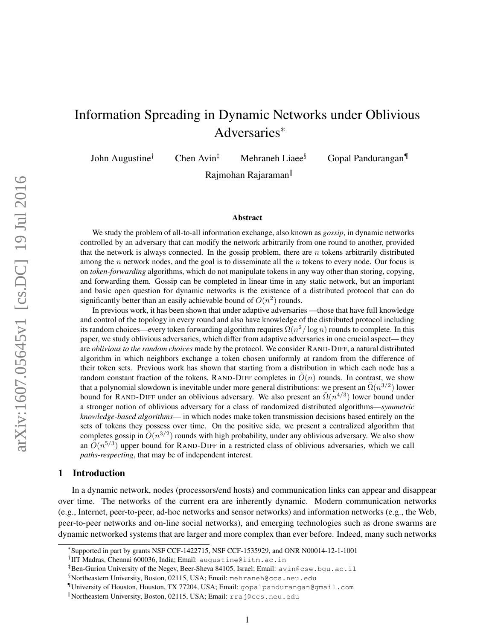# Information Spreading in Dynamic Networks under Oblivious Adversaries<sup>∗</sup>

John Augustine<sup>†</sup> Chen Avin<sup>‡</sup> Mehraneh Liaee<sup>§</sup> Gopal Pandurangan

Rajmohan Rajaraman

#### Abstract

We study the problem of all-to-all information exchange, also known as *gossip*, in dynamic networks controlled by an adversary that can modify the network arbitrarily from one round to another, provided that the network is always connected. In the gossip problem, there are  $n$  tokens arbitrarily distributed among the  $n$  network nodes, and the goal is to disseminate all the  $n$  tokens to every node. Our focus is on *token-forwarding* algorithms, which do not manipulate tokens in any way other than storing, copying, and forwarding them. Gossip can be completed in linear time in any static network, but an important and basic open question for dynamic networks is the existence of a distributed protocol that can do significantly better than an easily achievable bound of  $O(n^2)$  rounds.

In previous work, it has been shown that under adaptive adversaries —those that have full knowledge and control of the topology in every round and also have knowledge of the distributed protocol including its random choices—every token forwarding algorithm requires  $\Omega(n^2/\log n)$  rounds to complete. In this paper, we study oblivious adversaries, which differ from adaptive adversaries in one crucial aspect— they are *oblivious to the random choices* made by the protocol. We consider RAND-DIFF, a natural distributed algorithm in which neighbors exchange a token chosen uniformly at random from the difference of their token sets. Previous work has shown that starting from a distribution in which each node has a random constant fraction of the tokens, RAND-DIFF completes in  $\tilde{O}(n)$  rounds. In contrast, we show that a polynomial slowdown is inevitable under more general distributions: we present an  $\tilde{\Omega}(n^{3/2})$  lower bound for RAND-DIFF under an oblivious adversary. We also present an  $\tilde{\Omega}(n^{4/3})$  lower bound under a stronger notion of oblivious adversary for a class of randomized distributed algorithms—*symmetric knowledge-based algorithms*— in which nodes make token transmission decisions based entirely on the sets of tokens they possess over time. On the positive side, we present a centralized algorithm that completes gossip in  $\tilde{O}(n^{3/2})$  rounds with high probability, under any oblivious adversary. We also show an  $\tilde{O}(n^{5/3})$  upper bound for RAND-DIFF in a restricted class of oblivious adversaries, which we call *paths-respecting*, that may be of independent interest.

#### 1 Introduction

In a dynamic network, nodes (processors/end hosts) and communication links can appear and disappear over time. The networks of the current era are inherently dynamic. Modern communication networks (e.g., Internet, peer-to-peer, ad-hoc networks and sensor networks) and information networks (e.g., the Web, peer-to-peer networks and on-line social networks), and emerging technologies such as drone swarms are dynamic networked systems that are larger and more complex than ever before. Indeed, many such networks

<sup>∗</sup> Supported in part by grants NSF CCF-1422715, NSF CCF-1535929, and ONR N00014-12-1-1001

<sup>†</sup> IIT Madras, Chennai 600036, India; Email: augustine@iitm.ac.in

<sup>‡</sup>Ben-Gurion University of the Negev, Beer-Sheva 84105, Israel; Email: avin@cse.bgu.ac.il

<sup>§</sup>Northeastern University, Boston, 02115, USA; Email: mehraneh@ccs.neu.edu

<sup>¶</sup>University of Houston, Houston, TX 77204, USA; Email: gopalpandurangan@gmail.com

Kortheastern University, Boston, 02115, USA; Email: rraj@ccs.neu.edu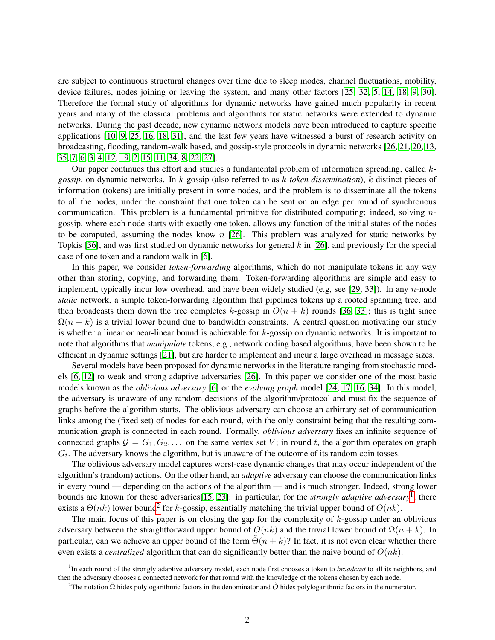are subject to continuous structural changes over time due to sleep modes, channel fluctuations, mobility, device failures, nodes joining or leaving the system, and many other factors [\[25,](#page-21-0) [32,](#page-22-0) [5,](#page-20-0) [14,](#page-20-1) [18,](#page-21-1) [9,](#page-20-2) [30\]](#page-22-1). Therefore the formal study of algorithms for dynamic networks have gained much popularity in recent years and many of the classical problems and algorithms for static networks were extended to dynamic networks. During the past decade, new dynamic network models have been introduced to capture specific applications [\[10,](#page-20-3) [9,](#page-20-2) [25,](#page-21-0) [16,](#page-21-2) [18,](#page-21-1) [31\]](#page-22-2), and the last few years have witnessed a burst of research activity on broadcasting, flooding, random-walk based, and gossip-style protocols in dynamic networks [\[26,](#page-21-3) [21,](#page-21-4) [20,](#page-21-5) [13,](#page-20-4) [35,](#page-22-3) [7,](#page-20-5) [6,](#page-20-6) [3,](#page-20-7) [4,](#page-20-8) [12,](#page-20-9) [19,](#page-21-6) [2,](#page-20-10) [15,](#page-21-7) [11,](#page-20-11) [34,](#page-22-4) [8,](#page-20-12) [22,](#page-21-8) [27\]](#page-21-9).

Our paper continues this effort and studies a fundamental problem of information spreading, called k*gossip*, on dynamic networks. In k-gossip (also referred to as k*-token dissemination*), k distinct pieces of information (tokens) are initially present in some nodes, and the problem is to disseminate all the tokens to all the nodes, under the constraint that one token can be sent on an edge per round of synchronous communication. This problem is a fundamental primitive for distributed computing; indeed, solving  $n$ gossip, where each node starts with exactly one token, allows any function of the initial states of the nodes to be computed, assuming the nodes know  $n$  [\[26\]](#page-21-3). This problem was analyzed for static networks by Topkis [\[36\]](#page-22-5), and was first studied on dynamic networks for general  $k$  in [\[26\]](#page-21-3), and previously for the special case of one token and a random walk in [\[6\]](#page-20-6).

In this paper, we consider *token-forwarding* algorithms, which do not manipulate tokens in any way other than storing, copying, and forwarding them. Token-forwarding algorithms are simple and easy to implement, typically incur low overhead, and have been widely studied (e.g, see [\[29,](#page-21-10) [33\]](#page-22-6)). In any n-node *static* network, a simple token-forwarding algorithm that pipelines tokens up a rooted spanning tree, and then broadcasts them down the tree completes k-gossip in  $O(n + k)$  rounds [\[36,](#page-22-5) [33\]](#page-22-6); this is tight since  $\Omega(n + k)$  is a trivial lower bound due to bandwidth constraints. A central question motivating our study is whether a linear or near-linear bound is achievable for  $k$ -gossip on dynamic networks. It is important to note that algorithms that *manipulate* tokens, e.g., network coding based algorithms, have been shown to be efficient in dynamic settings [\[21\]](#page-21-4), but are harder to implement and incur a large overhead in message sizes.

Several models have been proposed for dynamic networks in the literature ranging from stochastic models [\[6,](#page-20-6) [12\]](#page-20-9) to weak and strong adaptive adversaries [\[26\]](#page-21-3). In this paper we consider one of the most basic models known as the *oblivious adversary* [\[6\]](#page-20-6) or the *evolving graph* model [\[24,](#page-21-11) [17,](#page-21-12) [16,](#page-21-2) [34\]](#page-22-4). In this model, the adversary is unaware of any random decisions of the algorithm/protocol and must fix the sequence of graphs before the algorithm starts. The oblivious adversary can choose an arbitrary set of communication links among the (fixed set) of nodes for each round, with the only constraint being that the resulting communication graph is connected in each round. Formally, *oblivious adversary* fixes an infinite sequence of connected graphs  $G = G_1, G_2, \ldots$  on the same vertex set V; in round t, the algorithm operates on graph  $G_t$ . The adversary knows the algorithm, but is unaware of the outcome of its random coin tosses.

The oblivious adversary model captures worst-case dynamic changes that may occur independent of the algorithm's (random) actions. On the other hand, an *adaptive* adversary can choose the communication links in every round — depending on the actions of the algorithm — and is much stronger. Indeed, strong lower bounds are known for these adversaries[\[15,](#page-21-7) [23\]](#page-21-13): in particular, for the *strongly adaptive adversary*[1](#page-1-0) , there exists a  $\tilde{\Theta}(nk)$  lower bound<sup>[2](#page-1-1)</sup> for k-gossip, essentially matching the trivial upper bound of  $O(nk)$ .

The main focus of this paper is on closing the gap for the complexity of  $k$ -gossip under an oblivious adversary between the straightforward upper bound of  $O(nk)$  and the trivial lower bound of  $\Omega(n + k)$ . In particular, can we achieve an upper bound of the form  $\Theta(n + k)$ ? In fact, it is not even clear whether there even exists a *centralized* algorithm that can do significantly better than the naive bound of  $O(nk)$ .

<span id="page-1-0"></span><sup>&</sup>lt;sup>1</sup>In each round of the strongly adaptive adversary model, each node first chooses a token to *broadcast* to all its neighbors, and then the adversary chooses a connected network for that round with the knowledge of the tokens chosen by each node.

<span id="page-1-1"></span><sup>&</sup>lt;sup>2</sup>The notation  $\tilde{\Omega}$  hides polylogarithmic factors in the denominator and  $\tilde{O}$  hides polylogarithmic factors in the numerator.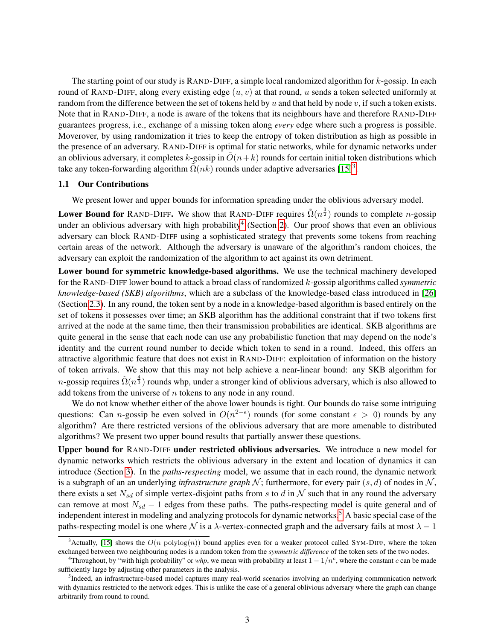The starting point of our study is RAND-DIFF, a simple local randomized algorithm for k-gossip. In each round of RAND-DIFF, along every existing edge  $(u, v)$  at that round, u sends a token selected uniformly at random from the difference between the set of tokens held by u and that held by node v, if such a token exists. Note that in RAND-DIFF, a node is aware of the tokens that its neighbours have and therefore RAND-DIFF guarantees progress, i.e., exchange of a missing token along *every* edge where such a progress is possible. Moverover, by using randomization it tries to keep the entropy of token distribution as high as possible in the presence of an adversary. RAND-DIFF is optimal for static networks, while for dynamic networks under an oblivious adversary, it completes k-gossip in  $O(n+k)$  rounds for certain initial token distributions which take any token-forwarding algorithm  $\tilde{\Omega}(nk)$  rounds under adaptive adversaries [\[15\]](#page-21-7)<sup>[3](#page-2-0)</sup>.

### 1.1 Our Contributions

We present lower and upper bounds for information spreading under the oblivious adversary model.

Lower Bound for RAND-DIFF. We show that RAND-DIFF requires  $\tilde{\Omega}(n^{\frac{3}{2}})$  rounds to complete *n*-gossip under an oblivious adversary with high probability<sup>[4](#page-2-1)</sup> (Section [2\)](#page-3-0). Our proof shows that even an oblivious adversary can block RAND-DIFF using a sophisticated strategy that prevents some tokens from reaching certain areas of the network. Although the adversary is unaware of the algorithm's random choices, the adversary can exploit the randomization of the algorithm to act against its own detriment.

Lower bound for symmetric knowledge-based algorithms. We use the technical machinery developed for the RAND-DIFF lower bound to attack a broad class of randomized k-gossip algorithms called *symmetric knowledge-based (SKB) algorithms*, which are a subclass of the knowledge-based class introduced in [\[26\]](#page-21-3) (Section [2.3\)](#page-7-0). In any round, the token sent by a node in a knowledge-based algorithm is based entirely on the set of tokens it possesses over time; an SKB algorithm has the additional constraint that if two tokens first arrived at the node at the same time, then their transmission probabilities are identical. SKB algorithms are quite general in the sense that each node can use any probabilistic function that may depend on the node's identity and the current round number to decide which token to send in a round. Indeed, this offers an attractive algorithmic feature that does not exist in RAND-DIFF: exploitation of information on the history of token arrivals. We show that this may not help achieve a near-linear bound: any SKB algorithm for n-gossip requires  $\tilde{\Omega}(n^{\frac{4}{3}})$  rounds whp, under a stronger kind of oblivious adversary, which is also allowed to add tokens from the universe of n tokens to any node in any round.

We do not know whether either of the above lower bounds is tight. Our bounds do raise some intriguing questions: Can n-gossip be even solved in  $O(n^{2-\epsilon})$  rounds (for some constant  $\epsilon > 0$ ) rounds by any algorithm? Are there restricted versions of the oblivious adversary that are more amenable to distributed algorithms? We present two upper bound results that partially answer these questions.

Upper bound for RAND-DIFF under restricted oblivious adversaries. We introduce a new model for dynamic networks which restricts the oblivious adversary in the extent and location of dynamics it can introduce (Section [3\)](#page-8-0). In the *paths-respecting* model, we assume that in each round, the dynamic network is a subgraph of an an underlying *infrastructure graph*  $N$ ; furthermore, for every pair  $(s, d)$  of nodes in  $N$ , there exists a set  $N_{sd}$  of simple vertex-disjoint paths from s to d in N such that in any round the adversary can remove at most  $N_{sd} - 1$  edges from these paths. The paths-respecting model is quite general and of independent interest in modeling and analyzing protocols for dynamic networks.<sup>[5](#page-2-2)</sup> A basic special case of the paths-respecting model is one where N is a  $\lambda$ -vertex-connected graph and the adversary fails at most  $\lambda - 1$ 

<span id="page-2-0"></span> $3$ Actually, [\[15\]](#page-21-7) shows the  $O(n \text{ polylog}(n))$  bound applies even for a weaker protocol called SYM-DIFF, where the token exchanged between two neighbouring nodes is a random token from the *symmetric difference* of the token sets of the two nodes.

<span id="page-2-1"></span><sup>&</sup>lt;sup>4</sup>Throughout, by "with high probability" or *whp*, we mean with probability at least  $1 - 1/n^c$ , where the constant c can be made sufficiently large by adjusting other parameters in the analysis.

<span id="page-2-2"></span><sup>&</sup>lt;sup>5</sup>Indeed, an infrastructure-based model captures many real-world scenarios involving an underlying communication network with dynamics restricted to the network edges. This is unlike the case of a general oblivious adversary where the graph can change arbitrarily from round to round.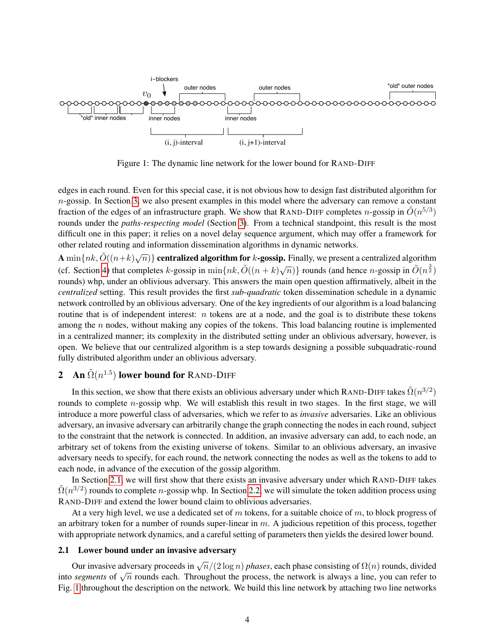

<span id="page-3-2"></span>Figure 1: The dynamic line network for the lower bound for RAND-DIFF

edges in each round. Even for this special case, it is not obvious how to design fast distributed algorithm for  $n$ -gossip. In Section [3,](#page-8-0) we also present examples in this model where the adversary can remove a constant fraction of the edges of an infrastructure graph. We show that RAND-DIFF completes *n*-gossip in  $\tilde{O}(n^{5/3})$ rounds under the *paths-respecting model* (Section [3\)](#page-8-0). From a technical standpoint, this result is the most difficult one in this paper; it relies on a novel delay sequence argument, which may offer a framework for other related routing and information dissemination algorithms in dynamic networks.

A  $\min\{nk, \tilde{O}((n+k)\sqrt{n})\}$  centralized algorithm for k-gossip. Finally, we present a centralized algorithm (cf. Section [4\)](#page-14-0) that completes k-gossip in  $\min\{nk, \tilde{O}((n+k)\sqrt{n})\}$  rounds (and hence *n*-gossip in  $\tilde{O}(n^{\frac{3}{2}})$ rounds) whp, under an oblivious adversary. This answers the main open question affirmatively, albeit in the *centralized* setting. This result provides the first *sub-quadratic* token dissemination schedule in a dynamic network controlled by an oblivious adversary. One of the key ingredients of our algorithm is a load balancing routine that is of independent interest:  $n$  tokens are at a node, and the goal is to distribute these tokens among the  $n$  nodes, without making any copies of the tokens. This load balancing routine is implemented in a centralized manner; its complexity in the distributed setting under an oblivious adversary, however, is open. We believe that our centralized algorithm is a step towards designing a possible subquadratic-round fully distributed algorithm under an oblivious adversary.

## <span id="page-3-0"></span>**2** An  $\tilde{\Omega}(n^{1.5})$  lower bound for RAND-DIFF

In this section, we show that there exists an oblivious adversary under which RAND-DIFF takes  $\tilde{\Omega}(n^{3/2})$ rounds to complete  $n$ -gossip whp. We will establish this result in two stages. In the first stage, we will introduce a more powerful class of adversaries, which we refer to as *invasive* adversaries. Like an oblivious adversary, an invasive adversary can arbitrarily change the graph connecting the nodes in each round, subject to the constraint that the network is connected. In addition, an invasive adversary can add, to each node, an arbitrary set of tokens from the existing universe of tokens. Similar to an oblivious adversary, an invasive adversary needs to specify, for each round, the network connecting the nodes as well as the tokens to add to each node, in advance of the execution of the gossip algorithm.

In Section [2.1,](#page-3-1) we will first show that there exists an invasive adversary under which RAND-DIFF takes  $\tilde{\Omega}(n^{3/2})$  rounds to complete *n*-gossip whp. In Section [2.2,](#page-5-0) we will simulate the token addition process using RAND-DIFF and extend the lower bound claim to oblivious adversaries.

At a very high level, we use a dedicated set of m tokens, for a suitable choice of m, to block progress of an arbitrary token for a number of rounds super-linear in  $m$ . A judicious repetition of this process, together with appropriate network dynamics, and a careful setting of parameters then yields the desired lower bound.

## <span id="page-3-1"></span>2.1 Lower bound under an invasive adversary

Our invasive adversary proceeds in  $\sqrt{n}/(2\log n)$  *phases*, each phase consisting of  $\Omega(n)$  rounds, divided For an invasive adversary proceeds in  $\sqrt{n}/(2 \log n)$  phases, each phase consisting or  $\sqrt{n}$  rounds, divided into *segments* of  $\sqrt{n}$  rounds each. Throughout the process, the network is always a line, you can refer to Fig. [1](#page-3-2) throughout the description on the network. We build this line network by attaching two line networks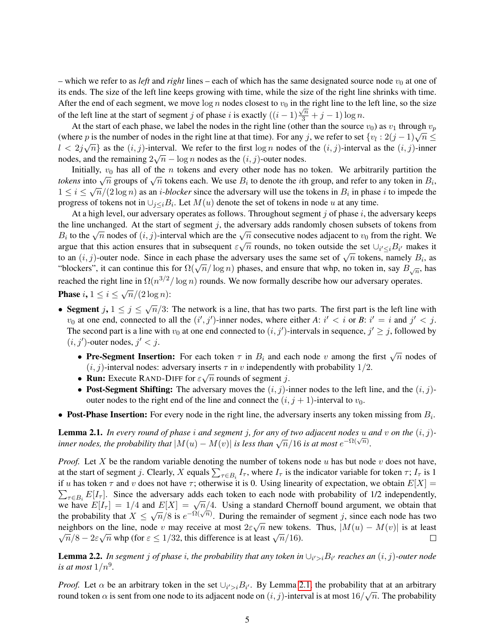– which we refer to as *left* and *right* lines – each of which has the same designated source node  $v_0$  at one of its ends. The size of the left line keeps growing with time, while the size of the right line shrinks with time. After the end of each segment, we move  $\log n$  nodes closest to  $v_0$  in the right line to the left line, so the size of the left line at the start of segment j of phase i is exactly  $((i-1)\frac{\sqrt{n}}{3} + j - 1) \log n$ .

At the start of each phase, we label the nodes in the right line (other than the source  $v_0$ ) as  $v_1$  through  $v_p$ At the start of each phase, we facel the nodes in the right line (other than the source  $v_0$ ) as  $v_1$  unough  $v_p$ <br>(where p is the number of nodes in the right line at that time). For any j, we refer to set  $\{v_l : 2(j - 1)\$  $l < 2j\sqrt{n}$  as the  $(i, j)$ -interval. We refer to the first  $\log n$  nodes of the  $(i, j)$ -interval as the  $(i, j)$ -inner nodes, and the remaining  $2\sqrt{n} - \log n$  nodes as the  $(i, j)$ -outer nodes.

Initially,  $v_0$  has all of the n tokens and every other node has no token. We arbitrarily partition the *tokens* into  $\sqrt{n}$  groups of  $\sqrt{n}$  tokens each. We use  $B_i$  to denote the *i*th group, and refer to any token in  $B_i$ ,  $1 \le i \le \sqrt{n}/(2 \log n)$  as an *i-blocker* since the adversary will use the tokens in  $B_i$  in phase *i* to impede the progress of tokens not in  $\bigcup_{j\leq i}B_i$ . Let  $M(u)$  denote the set of tokens in node u at any time.

At a high level, our adversary operates as follows. Throughout segment  $j$  of phase  $i$ , the adversary keeps the line unchanged. At the start of segment  $j$ , the adversary adds randomly chosen subsets of tokens from the fine unchanged. At the start of segment *f*, the adversary adds randomly chosen subsets of tokens from the right. We  $B_i$  to the  $\sqrt{n}$  nodes of  $(i, j)$ -interval which are the  $\sqrt{n}$  consecutive nodes adjacent to  $v_0$ argue that this action ensures that in subsequent  $\varepsilon\sqrt{n}$  rounds, no token outside the set  $\cup_{i'\leq i}B_{i'}$  makes it to an  $(i, j)$ -outer node. Since in each phase the adversary uses the same set of  $\sqrt{n}$  tokens, namely  $B_i$ , as We an  $(i, j)$ -outer hout. Since in each phase the adversary uses the same set of  $\sqrt{n}$  tokens, hantery  $B_i$ , as "blockers", it can continue this for  $\Omega(\sqrt{n}/\log n)$  phases, and ensure that whp, no token in, say  $B_{\sqrt{n}}$ , has reached the right line in  $\Omega(n^{3/2}/\log n)$  rounds. We now formally describe how our adversary operates.

**Phase**  $i, 1 \leq i \leq \sqrt{n}/(2 \log n)$ :

- Segment  $j, 1 \le j \le \sqrt{n}/3$ : The network is a line, that has two parts. The first part is the left line with  $v_0$  at one end, connected to all the  $(i', j')$ -inner nodes, where either *A*:  $i' < i$  or *B*:  $i' = i$  and  $j' < j$ . The second part is a line with  $v_0$  at one end connected to  $(i, j')$ -intervals in sequence,  $j' \geq j$ , followed by  $(i, j')$ -outer nodes,  $j' < j$ .
	- Pre-Segment Insertion: For each token  $\tau$  in  $B_i$  and each node v among the first  $\sqrt{n}$  nodes of  $(i, j)$ -interval nodes: adversary inserts  $\tau$  in v independently with probability 1/2.
	- Run: Execute RAND-DIFF for  $\epsilon \sqrt{n}$  rounds of segment j.
	- Post-Segment Shifting: The adversary moves the  $(i, j)$ -inner nodes to the left line, and the  $(i, j)$ outer nodes to the right end of the line and connect the  $(i, j + 1)$ -interval to  $v_0$ .
- Post-Phase Insertion: For every node in the right line, the adversary inserts any token missing from  $B_i$ .

<span id="page-4-0"></span>**Lemma 2.1.** In every round of phase i and segment j, for any of two adjacent nodes u and v on the  $(i, j)$ *inner nodes, the probability that*  $|M(u) - M(v)|$  *is less than*  $\sqrt{n}/16$  *is at most*  $e^{-\Omega(\sqrt{n})}$ *.* 

*Proof.* Let X be the random variable denoting the number of tokens node u has but node v does not have, at the start of segment j. Clearly, X equals  $\sum_{\tau \in B_i} I_{\tau}$ , where  $I_{\tau}$  is the indicator variable for token  $\tau$ ;  $I_{\tau}$  is 1 if u has token  $\tau$  and v does not have  $\tau$ ; otherwise it is 0. Using linearity of expectation, we obtain  $E[X] =$  $\sum_{\tau \in B_i} E[I_\tau]$ . Since the adversary adds each token to each node with probability of 1/2 independently,  $\sum_{\tau \in B_i} E[i_{\tau}]$ . Since the adversary adds each token to each hode with probability of 1/2 independently, we have  $E[I_{\tau}] = 1/4$  and  $E[X] = \sqrt{n}/4$ . Using a standard Chernoff bound argument, we obtain that we have  $E[T_T] = T/4$  and  $E[X] = \sqrt{n/4}$ . Using a standard Chernon bound argument, we obtain that the probability that  $X \le \sqrt{n}/8$  is  $e^{-\Omega(\sqrt{n})}$ . During the remainder of segment j, since each node has two neighbors on the line, node v may receive at most  $2\varepsilon\sqrt{n}$  new tokens. Thus,  $|M(u) - M(v)|$  is at least nghoots on the fine, hode v hlay receive at most  $2\varepsilon \sqrt{n}$  hew token<br> $\overline{n}/8 - 2\varepsilon \sqrt{n}$  whp (for  $\varepsilon \le 1/32$ , this difference is at least  $\sqrt{n}/16$ ).  $\Box$ 

<span id="page-4-1"></span>**Lemma 2.2.** In segment  $j$  of phase  $i$ , the probability that any token in  $\cup_{i'>i}B_{i'}$  reaches an  $(i, j)$ -outer node *is at most*  $1/n^9$ .

*Proof.* Let  $\alpha$  be an arbitrary token in the set  $\bigcup_{i'>i} B_{i'}$ . By Lemma [2.1,](#page-4-0) the probability that at an arbitrary round token  $\alpha$  is sent from one node to its adjacent node on  $(i,j)$ -interval is at most  $16/\sqrt{n}.$  The probability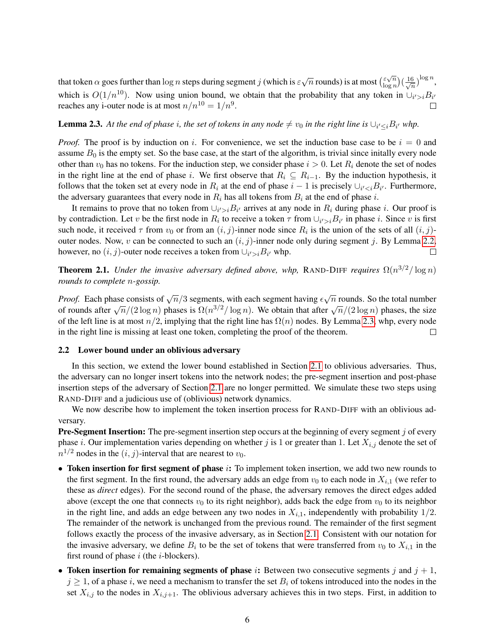that token  $\alpha$  goes further than log n steps during segment j (which is  $\varepsilon\sqrt{n}$  rounds) is at most  $\binom{\varepsilon\sqrt{n}}{\log n}$  $(\frac{6}{n})^{\log n},$  $\frac{\varepsilon\sqrt{n}}{\log n}$   $\left(\frac{16}{\sqrt{n}}\right)$ which is  $O(1/n^{10})$ . Now using union bound, we obtain that the probability that any token in  $\bigcup_{i'>i} B_{i'}$ reaches any i-outer node is at most  $n/n^{10} = 1/n^9$ .  $\Box$ 

## <span id="page-5-1"></span>**Lemma 2.3.** At the end of phase i, the set of tokens in any node  $\neq v_0$  in the right line is  $\cup_{i'\leq i}B_{i'}$  whp.

*Proof.* The proof is by induction on i. For convenience, we set the induction base case to be  $i = 0$  and assume  $B_0$  is the empty set. So the base case, at the start of the algorithm, is trivial since initally every node other than  $v_0$  has no tokens. For the induction step, we consider phase  $i > 0$ . Let  $R_i$  denote the set of nodes in the right line at the end of phase i. We first observe that  $R_i \subseteq R_{i-1}$ . By the induction hypothesis, it follows that the token set at every node in  $R_i$  at the end of phase  $i-1$  is precisely  $\cup_{i'. Furthermore,$ the adversary guarantees that every node in  $R_i$  has all tokens from  $B_i$  at the end of phase i.

It remains to prove that no token from  $\cup_{i'>i} B_{i'}$  arrives at any node in  $R_i$  during phase i. Our proof is by contradiction. Let v be the first node in  $R_i$  to receive a token  $\tau$  from  $\cup_{i'>i} B_{i'}$  in phase i. Since v is first such node, it received  $\tau$  from  $v_0$  or from an  $(i, j)$ -inner node since  $R_i$  is the union of the sets of all  $(i, j)$ outer nodes. Now, v can be connected to such an  $(i, j)$ -inner node only during segment j. By Lemma [2.2,](#page-4-1) however, no  $(i, j)$ -outer node receives a token from  $\cup_{i' > i} B_{i'}$  whp.  $\Box$ 

**Theorem 2.1.** *Under the invasive adversary defined above, whp,* RAND-DIFF *requires*  $\Omega(n^{3/2}/\log n)$ *rounds to complete* n*-gossip.*

*Proof.* Each phase consists of  $\sqrt{n}/3$  segments, with each segment having  $\epsilon \sqrt{\frac{n}{n}}$  $\overline{n}$  rounds. So the total number *Froof.* Each phase consists of  $\sqrt{n}/3$  segments, while each segment having  $\epsilon \sqrt{n}$  rounds. So the total number of rounds after  $\sqrt{n}/(2 \log n)$  phases is  $\Omega(n^{3/2}/\log n)$ . We obtain that after  $\sqrt{n}/(2 \log n)$  phases, the size of the left line is at most  $n/2$ , implying that the right line has  $\Omega(n)$  nodes. By Lemma [2.3,](#page-5-1) whp, every node in the right line is missing at least one token, completing the proof of the theorem.  $\Box$ 

## <span id="page-5-0"></span>2.2 Lower bound under an oblivious adversary

In this section, we extend the lower bound established in Section [2.1](#page-3-1) to oblivious adversaries. Thus, the adversary can no longer insert tokens into the network nodes; the pre-segment insertion and post-phase insertion steps of the adversary of Section [2.1](#page-3-1) are no longer permitted. We simulate these two steps using RAND-DIFF and a judicious use of (oblivious) network dynamics.

We now describe how to implement the token insertion process for RAND-DIFF with an oblivious adversary.

**Pre-Segment Insertion:** The pre-segment insertion step occurs at the beginning of every segment  $j$  of every phase *i*. Our implementation varies depending on whether *j* is 1 or greater than 1. Let  $X_{i,j}$  denote the set of  $n^{1/2}$  nodes in the  $(i, j)$ -interval that are nearest to  $v_0$ .

- Token insertion for first segment of phase i: To implement token insertion, we add two new rounds to the first segment. In the first round, the adversary adds an edge from  $v_0$  to each node in  $X_{i,1}$  (we refer to these as *direct* edges). For the second round of the phase, the adversary removes the direct edges added above (except the one that connects  $v_0$  to its right neighbor), adds back the edge from  $v_0$  to its neighbor in the right line, and adds an edge between any two nodes in  $X_{i,1}$ , independently with probability  $1/2$ . The remainder of the network is unchanged from the previous round. The remainder of the first segment follows exactly the process of the invasive adversary, as in Section [2.1.](#page-3-1) Consistent with our notation for the invasive adversary, we define  $B_i$  to be the set of tokens that were transferred from  $v_0$  to  $X_{i,1}$  in the first round of phase  $i$  (the  $i$ -blockers).
- Token insertion for remaining segments of phase i: Between two consecutive segments j and  $j + 1$ ,  $j \geq 1$ , of a phase i, we need a mechanism to transfer the set  $B_i$  of tokens introduced into the nodes in the set  $X_{i,j}$  to the nodes in  $X_{i,j+1}$ . The oblivious adversary achieves this in two steps. First, in addition to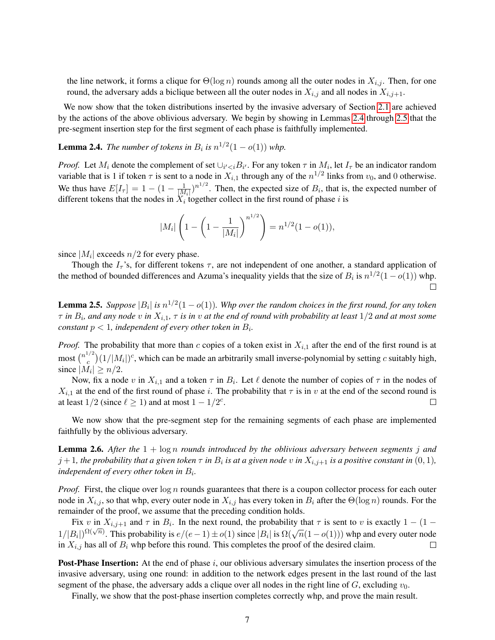the line network, it forms a clique for  $\Theta(\log n)$  rounds among all the outer nodes in  $X_{i,j}$ . Then, for one round, the adversary adds a biclique between all the outer nodes in  $X_{i,j}$  and all nodes in  $X_{i,j+1}$ .

We now show that the token distributions inserted by the invasive adversary of Section [2.1](#page-3-1) are achieved by the actions of the above oblivious adversary. We begin by showing in Lemmas [2.4](#page-6-0) through [2.5](#page-6-1) that the pre-segment insertion step for the first segment of each phase is faithfully implemented.

<span id="page-6-0"></span>**Lemma 2.4.** *The number of tokens in*  $B_i$  *is*  $n^{1/2}(1 - o(1))$  *whp.* 

*Proof.* Let  $M_i$  denote the complement of set  $\bigcup_{i' < i} B_{i'}$ . For any token  $\tau$  in  $M_i$ , let  $I_\tau$  be an indicator random variable that is 1 if token  $\tau$  is sent to a node in  $X_{i,1}$  through any of the  $n^{1/2}$  links from  $v_0$ , and 0 otherwise. We thus have  $E[I_{\tau}] = 1 - (1 - \frac{1}{|M|})$  $\frac{1}{|M_i|}$ )<sup>n<sup>1/2</sup>. Then, the expected size of  $B_i$ , that is, the expected number of</sup> different tokens that the nodes in  $X_i$  together collect in the first round of phase i is

$$
|M_i| \left( 1 - \left( 1 - \frac{1}{|M_i|} \right)^{n^{1/2}} \right) = n^{1/2} (1 - o(1)),
$$

since  $|M_i|$  exceeds  $n/2$  for every phase.

Though the  $I<sub>\tau</sub>$ 's, for different tokens  $\tau$ , are not independent of one another, a standard application of the method of bounded differences and Azuma's inequality yields that the size of  $B_i$  is  $n^{1/2}(1 - o(1))$  whp.  $\Box$ 

<span id="page-6-1"></span>**Lemma 2.5.** Suppose  $|B_i|$  is  $n^{1/2}(1 - o(1))$ . Whp over the random choices in the first round, for any token  $\tau$  *in*  $B_i$ , and any node  $v$  *in*  $X_{i,1}$ ,  $\tau$  *is in*  $v$  at the end of round with probability at least  $1/2$  and at most some *constant*  $p < 1$ *, independent of every other token in*  $B_i$ *.* 

*Proof.* The probability that more than c copies of a token exist in  $X_{i,1}$  after the end of the first round is at most  $\binom{n^{1/2}}{c}$  $\binom{n}{c}(1/|M_i|)^c$ , which can be made an arbitrarily small inverse-polynomial by setting c suitably high, since  $|M_i| \ge n/2$ .

Now, fix a node v in  $X_{i,1}$  and a token  $\tau$  in  $B_i$ . Let  $\ell$  denote the number of copies of  $\tau$  in the nodes of  $X_{i,1}$  at the end of the first round of phase i. The probability that  $\tau$  is in v at the end of the second round is at least  $1/2$  (since  $\ell \geq 1$ ) and at most  $1 - 1/2^c$ .  $\perp$ 

We now show that the pre-segment step for the remaining segments of each phase are implemented faithfully by the oblivious adversary.

<span id="page-6-2"></span>Lemma 2.6. *After the* 1 + log n *rounds introduced by the oblivious adversary between segments* j *and*  $j+1$ , the probability that a given token  $\tau$  in  $B_i$  is at a given node  $v$  in  $X_{i,j+1}$  is a positive constant in  $(0,1)$ , independent of every other token in  $B_i$ .

*Proof.* First, the clique over  $\log n$  rounds guarantees that there is a coupon collector process for each outer node in  $X_{i,j}$ , so that whp, every outer node in  $X_{i,j}$  has every token in  $B_i$  after the  $\Theta(\log n)$  rounds. For the remainder of the proof, we assume that the preceding condition holds.

Fix v in  $X_{i,j+1}$  and  $\tau$  in  $B_i$ . In the next round, the probability that  $\tau$  is sent to v is exactly  $1 - (1 1/|B_i|$ ) $\Omega(\sqrt{n})$ . This probability is  $e/(e-1) \pm o(1)$  since  $|B_i|$  is  $\Omega(\sqrt{n}(1-o(1)))$  whp and every outer node in  $X_{i,j}$  has all of  $B_i$  whp before this round. This completes the proof of the desired claim.  $\Box$ 

**Post-Phase Insertion:** At the end of phase  $i$ , our oblivious adversary simulates the insertion process of the invasive adversary, using one round: in addition to the network edges present in the last round of the last segment of the phase, the adversary adds a clique over all nodes in the right line of  $G$ , excluding  $v_0$ .

Finally, we show that the post-phase insertion completes correctly whp, and prove the main result.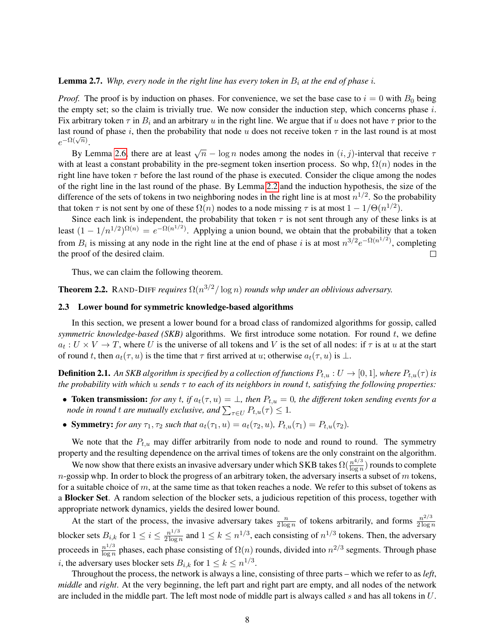#### **Lemma 2.7.** *Whp, every node in the right line has every token in*  $B_i$  *at the end of phase i.*

*Proof.* The proof is by induction on phases. For convenience, we set the base case to  $i = 0$  with  $B_0$  being the empty set; so the claim is trivially true. We now consider the induction step, which concerns phase  $i$ . Fix arbitrary token  $\tau$  in  $B_i$  and an arbitrary u in the right line. We argue that if u does not have  $\tau$  prior to the last round of phase i, then the probability that node u does not receive token  $\tau$  in the last round is at most  $e^{-\Omega(\sqrt{n})}$ .

By Lemma [2.6,](#page-6-2) there are at least  $\sqrt{n} - \log n$  nodes among the nodes in  $(i, j)$ -interval that receive  $\tau$ with at least a constant probability in the pre-segment token insertion process. So whp,  $\Omega(n)$  nodes in the right line have token  $\tau$  before the last round of the phase is executed. Consider the clique among the nodes of the right line in the last round of the phase. By Lemma [2.2](#page-4-1) and the induction hypothesis, the size of the difference of the sets of tokens in two neighboring nodes in the right line is at most  $n^{1/2}$ . So the probability that token  $\tau$  is not sent by one of these  $\Omega(n)$  nodes to a node missing  $\tau$  is at most  $1 - 1/\Theta(n^{1/2})$ .

Since each link is independent, the probability that token  $\tau$  is not sent through any of these links is at least  $(1 - 1/n^{1/2})^{\Omega(n)} = e^{-\Omega(n^{1/2})}$ . Applying a union bound, we obtain that the probability that a token from  $B_i$  is missing at any node in the right line at the end of phase i is at most  $n^{3/2}e^{-\Omega(n^{1/2})}$ , completing  $\Box$ the proof of the desired claim.

Thus, we can claim the following theorem.

**Theorem 2.2.** RAND-DIFF *requires*  $\Omega(n^{3/2}/\log n)$  *rounds whp under an oblivious adversary.* 

### <span id="page-7-0"></span>2.3 Lower bound for symmetric knowledge-based algorithms

In this section, we present a lower bound for a broad class of randomized algorithms for gossip, called *symmetric knowledge-based (SKB)* algorithms. We first introduce some notation. For round t, we define  $a_t: U \times V \to T$ , where U is the universe of all tokens and V is the set of all nodes: if  $\tau$  is at u at the start of round t, then  $a_t(\tau, u)$  is the time that  $\tau$  first arrived at u; otherwise  $a_t(\tau, u)$  is  $\bot$ .

**Definition 2.1.** An SKB algorithm is specified by a collection of functions  $P_{t,u}: U \to [0,1]$ , where  $P_{t,u}(\tau)$  is *the probability with which* u *sends* τ *to each of its neighbors in round* t*, satisfying the following properties:*

- Token transmission: *for any t, if*  $a_t(\tau, u) = \bot$ *, then*  $P_{t,u} = 0$ *, the different token sending events for a node in round t are mutually exclusive, and*  $\sum_{\tau \in U} P_{t,u}(\tau) \leq 1$ *.*
- **Symmetry:** *for any*  $\tau_1, \tau_2$  *such that*  $a_t(\tau_1, u) = a_t(\tau_2, u)$ *,*  $P_{t,u}(\tau_1) = P_{t,u}(\tau_2)$ *.*

We note that the  $P_{t,u}$  may differ arbitrarily from node to node and round to round. The symmetry property and the resulting dependence on the arrival times of tokens are the only constraint on the algorithm.

We now show that there exists an invasive adversary under which SKB takes  $\Omega(\frac{n^{4/3}}{\log n})$  $\frac{n^{4/3}}{\log n}$ ) rounds to complete  $n$ -gossip whp. In order to block the progress of an arbitrary token, the adversary inserts a subset of m tokens, for a suitable choice of m, at the same time as that token reaches a node. We refer to this subset of tokens as a Blocker Set. A random selection of the blocker sets, a judicious repetition of this process, together with appropriate network dynamics, yields the desired lower bound.

At the start of the process, the invasive adversary takes  $\frac{n}{2 \log n}$  of tokens arbitrarily, and forms  $\frac{n^{2/3}}{2 \log n}$  $2 \log n$ blocker sets  $B_{i,k}$  for  $1 \leq i \leq \frac{n^{1/3}}{2 \log n}$  $\frac{n^{1/3}}{2\log n}$  and  $1 \le k \le n^{1/3}$ , each consisting of  $n^{1/3}$  tokens. Then, the adversary proceeds in  $\frac{n^{1/3}}{\log n}$  $\frac{n^{1/3}}{\log n}$  phases, each phase consisting of  $\Omega(n)$  rounds, divided into  $n^{2/3}$  segments. Through phase *i*, the adversary uses blocker sets  $B_{i,k}$  for  $1 \leq k \leq n^{1/3}$ .

Throughout the process, the network is always a line, consisting of three parts – which we refer to as *left*, *middle* and *right*. At the very beginning, the left part and right part are empty, and all nodes of the network are included in the middle part. The left most node of middle part is always called s and has all tokens in  $U$ .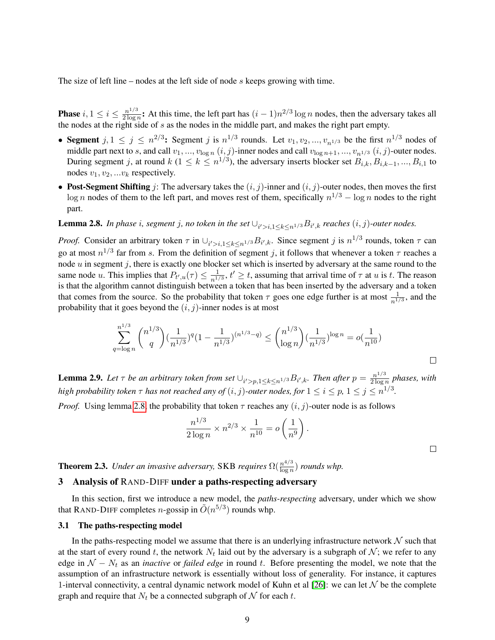The size of left line – nodes at the left side of node s keeps growing with time.

**Phase**  $i, 1 \leq i \leq \frac{n^{1/3}}{2 \log n}$  $\frac{n^{1/3}}{2\log n}$ : At this time, the left part has  $(i-1)n^{2/3}\log n$  nodes, then the adversary takes all the nodes at the right side of s as the nodes in the middle part, and makes the right part empty.

- Segment  $j, 1 \le j \le n^{2/3}$ : Segment j is  $n^{1/3}$  rounds. Let  $v_1, v_2, ..., v_{n^{1/3}}$  be the first  $n^{1/3}$  nodes of middle part next to s, and call  $v_1, ..., v_{\log n}$   $(i, j)$ -inner nodes and call  $v_{\log n+1}, ..., v_{n^{1/3}}$   $(i, j)$ -outer nodes. During segment j, at round  $k$  ( $1 \leq k \leq n^{1/3}$ ), the adversary inserts blocker set  $B_{i,k}, B_{i,k-1}, ..., B_{i,1}$  to nodes  $v_1, v_2, ... v_k$  respectively.
- Post-Segment Shifting j: The adversary takes the  $(i, j)$ -inner and  $(i, j)$ -outer nodes, then moves the first  $\log n$  nodes of them to the left part, and moves rest of them, specifically  $n^{1/3} - \log n$  nodes to the right part.

## <span id="page-8-1"></span>**Lemma 2.8.** In phase i, segment j, no token in the set  $\cup_{i'>i,1\leq k\leq n^{1/3}}B_{i',k}$  reaches  $(i,j)$ -outer nodes.

*Proof.* Consider an arbitrary token  $\tau$  in  $\cup_{i' > i, 1 \le k \le n^{1/3}} B_{i',k}$ . Since segment j is  $n^{1/3}$  rounds, token  $\tau$  can go at most  $n^{1/3}$  far from s. From the definition of segment j, it follows that whenever a token  $\tau$  reaches a node  $u$  in segment j, there is exactly one blocker set which is inserted by adversary at the same round to the same node u. This implies that  $P_{t',u}(\tau) \leq \frac{1}{n^2}$  $\frac{1}{n^{1/3}}$ ,  $t' \ge t$ , assuming that arrival time of  $\tau$  at u is t. The reason is that the algorithm cannot distinguish between a token that has been inserted by the adversary and a token that comes from the source. So the probability that token  $\tau$  goes one edge further is at most  $\frac{1}{n^{1/3}}$ , and the probability that it goes beyond the  $(i, j)$ -inner nodes is at most

$$
\sum_{q=\log n}^{n^{1/3}} {n^{1/3} \choose q} \left(\frac{1}{n^{1/3}}\right)^q \left(1 - \frac{1}{n^{1/3}}\right)^{(n^{1/3} - q)} \le {n^{1/3} \choose \log n} \left(\frac{1}{n^{1/3}}\right)^{\log n} = o\left(\frac{1}{n^{10}}\right)
$$

**Lemma 2.9.** Let  $\tau$  be an arbitrary token from set  $\cup_{i'>p,1\leq k\leq n^{1/3}}B_{i',k}$ . Then after  $p=\frac{n^{1/3}}{2\log n}$  $\frac{n^{1/3}}{2 \log n}$  phases, with *high probability token*  $\tau$  *has not reached any of*  $(i, j)$ -outer nodes, for  $1 \leq i \leq p$ ,  $1 \leq j \leq n^{1/3}$ .

*Proof.* Using lemma [2.8,](#page-8-1) the probability that token  $\tau$  reaches any  $(i, j)$ -outer node is as follows

$$
\frac{n^{1/3}}{2\log n} \times n^{2/3} \times \frac{1}{n^{10}} = o\left(\frac{1}{n^9}\right).
$$

 $\Box$ 

**Theorem 2.3.** *Under an invasive adversary,* SKB *requires*  $\Omega(\frac{n^{4/3}}{\log n})$  $\frac{n^{4/3}}{\log n}$ ) *rounds whp.* 

### <span id="page-8-0"></span>3 Analysis of RAND-DIFF under a paths-respecting adversary

In this section, first we introduce a new model, the *paths-respecting* adversary, under which we show that RAND-DIFF completes *n*-gossip in  $\tilde{O}(n^{5/3})$  rounds whp.

## 3.1 The paths-respecting model

In the paths-respecting model we assume that there is an underlying infrastructure network  $N$  such that at the start of every round t, the network  $N_t$  laid out by the adversary is a subgraph of  $\mathcal{N}$ ; we refer to any edge in  $N - N_t$  as an *inactive* or *failed edge* in round t. Before presenting the model, we note that the assumption of an infrastructure network is essentially without loss of generality. For instance, it captures 1-interval connectivity, a central dynamic network model of Kuhn et al [\[26\]](#page-21-3): we can let  $\mathcal N$  be the complete graph and require that  $N_t$  be a connected subgraph of N for each t.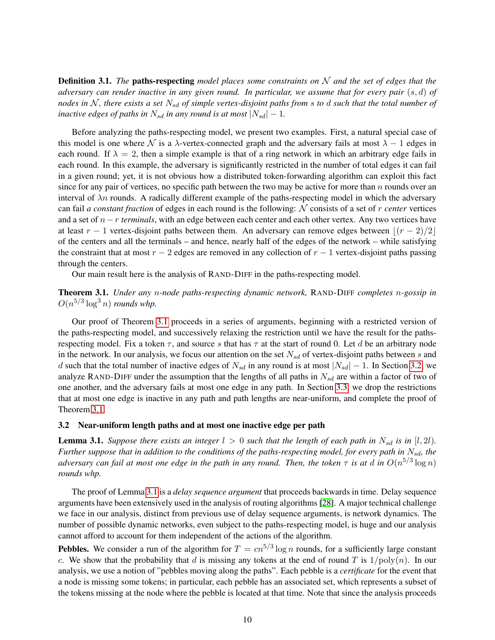Definition 3.1. *The* paths-respecting *model places some constraints on* N *and the set of edges that the adversary can render inactive in any given round. In particular, we assume that for every pair* (s, d) *of nodes in* N *, there exists a set* Nsd *of simple vertex-disjoint paths from* s *to* d *such that the total number of inactive edges of paths in*  $N_{sd}$  *in any round is at most*  $|N_{sd}| - 1$ *.* 

Before analyzing the paths-respecting model, we present two examples. First, a natural special case of this model is one where N is a  $\lambda$ -vertex-connected graph and the adversary fails at most  $\lambda - 1$  edges in each round. If  $\lambda = 2$ , then a simple example is that of a ring network in which an arbitrary edge fails in each round. In this example, the adversary is significantly restricted in the number of total edges it can fail in a given round; yet, it is not obvious how a distributed token-forwarding algorithm can exploit this fact since for any pair of vertices, no specific path between the two may be active for more than  $n$  rounds over an interval of  $\lambda n$  rounds. A radically different example of the paths-respecting model in which the adversary can fail *a constant fraction* of edges in each round is the following: N consists of a set of r *center* vertices and a set of n−r *terminals*, with an edge between each center and each other vertex. Any two vertices have at least  $r - 1$  vertex-disjoint paths between them. An adversary can remove edges between  $\lfloor (r - 2)/2 \rfloor$ of the centers and all the terminals – and hence, nearly half of the edges of the network – while satisfying the constraint that at most  $r - 2$  edges are removed in any collection of  $r - 1$  vertex-disjoint paths passing through the centers.

Our main result here is the analysis of RAND-DIFF in the paths-respecting model.

<span id="page-9-0"></span>Theorem 3.1. *Under any* n*-node paths-respecting dynamic network,* RAND-DIFF *completes* n*-gossip in*  $O(n^{5/3} \log^3 n)$  *rounds whp.* 

Our proof of Theorem [3.1](#page-9-0) proceeds in a series of arguments, beginning with a restricted version of the paths-respecting model, and successively relaxing the restriction until we have the result for the pathsrespecting model. Fix a token  $\tau$ , and source s that has  $\tau$  at the start of round 0. Let d be an arbitrary node in the network. In our analysis, we focus our attention on the set  $N_{sd}$  of vertex-disjoint paths between s and d such that the total number of inactive edges of  $N_{sd}$  in any round is at most  $|N_{sd}| - 1$ . In Section [3.2,](#page-9-1) we analyze RAND-DIFF under the assumption that the lengths of all paths in  $N_{sd}$  are within a factor of two of one another, and the adversary fails at most one edge in any path. In Section [3.3,](#page-13-0) we drop the restrictions that at most one edge is inactive in any path and path lengths are near-uniform, and complete the proof of Theorem [3.1.](#page-9-0)

## <span id="page-9-1"></span>3.2 Near-uniform length paths and at most one inactive edge per path

<span id="page-9-2"></span>**Lemma 3.1.** *Suppose there exists an integer*  $l > 0$  *such that the length of each path in*  $N_{sd}$  *is in* [l, 2l]*. Further suppose that in addition to the conditions of the paths-respecting model, for every path in*  $N_{sd}$ , the *adversary can fail at most one edge in the path in any round. Then, the token*  $\tau$  *is at*  $d$  *in*  $O(n^{5/3}\log n)$ *rounds whp.*

The proof of Lemma [3.1](#page-9-2) is a *delay sequence argument* that proceeds backwards in time. Delay sequence arguments have been extensively used in the analysis of routing algorithms [\[28\]](#page-21-14). A major technical challenge we face in our analysis, distinct from previous use of delay sequence arguments, is network dynamics. The number of possible dynamic networks, even subject to the paths-respecting model, is huge and our analysis cannot afford to account for them independent of the actions of the algorithm.

**Pebbles.** We consider a run of the algorithm for  $T = cn^{5/3} \log n$  rounds, for a sufficiently large constant c. We show that the probability that d is missing any tokens at the end of round T is  $1/\text{poly}(n)$ . In our analysis, we use a notion of "pebbles moving along the paths". Each pebble is a *certificate* for the event that a node is missing some tokens; in particular, each pebble has an associated set, which represents a subset of the tokens missing at the node where the pebble is located at that time. Note that since the analysis proceeds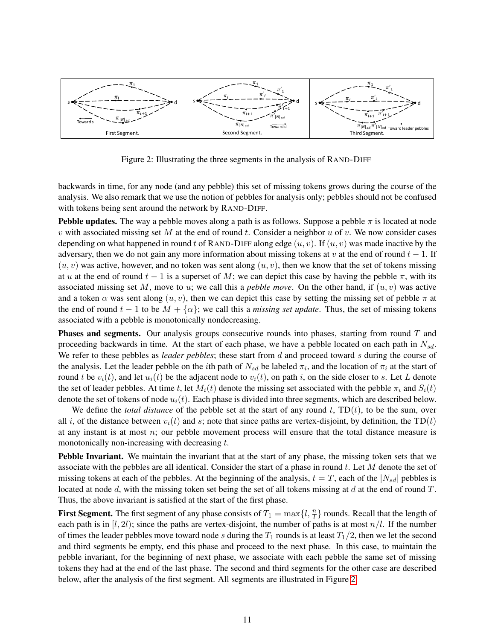

<span id="page-10-0"></span>Figure 2: Illustrating the three segments in the analysis of RAND-DIFF

backwards in time, for any node (and any pebble) this set of missing tokens grows during the course of the analysis. We also remark that we use the notion of pebbles for analysis only; pebbles should not be confused with tokens being sent around the network by RAND-DIFF.

**Pebble updates.** The way a pebble moves along a path is as follows. Suppose a pebble  $\pi$  is located at node  $v$  with associated missing set  $M$  at the end of round  $t$ . Consider a neighbor  $u$  of  $v$ . We now consider cases depending on what happened in round t of RAND-DIFF along edge  $(u, v)$ . If  $(u, v)$  was made inactive by the adversary, then we do not gain any more information about missing tokens at v at the end of round  $t - 1$ . If  $(u, v)$  was active, however, and no token was sent along  $(u, v)$ , then we know that the set of tokens missing at u at the end of round  $t - 1$  is a superset of M; we can depict this case by having the pebble  $\pi$ , with its associated missing set M, move to u; we call this a *pebble move*. On the other hand, if  $(u, v)$  was active and a token  $\alpha$  was sent along  $(u, v)$ , then we can depict this case by setting the missing set of pebble  $\pi$  at the end of round  $t - 1$  to be  $M + {\alpha}$ ; we call this a *missing set update*. Thus, the set of missing tokens associated with a pebble is monotonically nondecreasing.

**Phases and segments.** Our analysis groups consecutive rounds into phases, starting from round  $T$  and proceeding backwards in time. At the start of each phase, we have a pebble located on each path in  $N_{sd}$ . We refer to these pebbles as *leader pebbles*; these start from d and proceed toward s during the course of the analysis. Let the leader pebble on the *i*th path of  $N_{sd}$  be labeled  $\pi_i$ , and the location of  $\pi_i$  at the start of round t be  $v_i(t)$ , and let  $u_i(t)$  be the adjacent node to  $v_i(t)$ , on path i, on the side closer to s. Let L denote the set of leader pebbles. At time t, let  $M_i(t)$  denote the missing set associated with the pebble  $\pi_i$  and  $S_i(t)$ denote the set of tokens of node  $u_i(t)$ . Each phase is divided into three segments, which are described below.

We define the *total distance* of the pebble set at the start of any round  $t$ ,  $TD(t)$ , to be the sum, over all i, of the distance between  $v_i(t)$  and s; note that since paths are vertex-disjoint, by definition, the TD(t) at any instant is at most  $n$ ; our pebble movement process will ensure that the total distance measure is monotonically non-increasing with decreasing t.

Pebble Invariant. We maintain the invariant that at the start of any phase, the missing token sets that we associate with the pebbles are all identical. Consider the start of a phase in round  $t$ . Let  $M$  denote the set of missing tokens at each of the pebbles. At the beginning of the analysis,  $t = T$ , each of the  $|N_{sd}|$  pebbles is located at node  $d$ , with the missing token set being the set of all tokens missing at  $d$  at the end of round  $T$ . Thus, the above invariant is satisfied at the start of the first phase.

<span id="page-10-1"></span>**First Segment.** The first segment of any phase consists of  $T_1 = \max\{l, \frac{n}{l}\}\$  rounds. Recall that the length of each path is in  $[l, 2l)$ ; since the paths are vertex-disjoint, the number of paths is at most  $n/l$ . If the number of times the leader pebbles move toward node s during the  $T_1$  rounds is at least  $T_1/2$ , then we let the second and third segments be empty, end this phase and proceed to the next phase. In this case, to maintain the pebble invariant, for the beginning of next phase, we associate with each pebble the same set of missing tokens they had at the end of the last phase. The second and third segments for the other case are described below, after the analysis of the first segment. All segments are illustrated in Figure [2.](#page-10-0)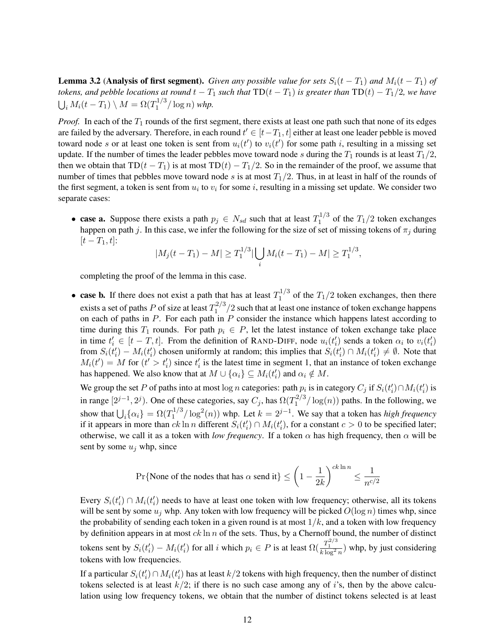**Lemma 3.2 (Analysis of first segment).** *Given any possible value for sets*  $S_i(t - T_1)$  *and*  $M_i(t - T_1)$  *of tokens, and pebble locations at round*  $t - T_1$  *such that*  $TD(t - T_1)$  *is greater than*  $TD(t) - T_1/2$ *, we have*  $\bigcup_i M_i(t-T_1) \setminus M = \Omega(T_1^{1/3})$  $\int_1^{1/3}$  (log n) whp.

*Proof.* In each of the  $T_1$  rounds of the first segment, there exists at least one path such that none of its edges are failed by the adversary. Therefore, in each round  $t' \in [t-T_1, t]$  either at least one leader pebble is moved toward node s or at least one token is sent from  $u_i(t')$  to  $v_i(t')$  for some path i, resulting in a missing set update. If the number of times the leader pebbles move toward node s during the  $T_1$  rounds is at least  $T_1/2$ , then we obtain that  $TD(t - T_1)$  is at most  $TD(t) - T_1/2$ . So in the remainder of the proof, we assume that number of times that pebbles move toward node s is at most  $T_1/2$ . Thus, in at least in half of the rounds of the first segment, a token is sent from  $u_i$  to  $v_i$  for some i, resulting in a missing set update. We consider two separate cases:

• case a. Suppose there exists a path  $p_j \in N_{sd}$  such that at least  $T_1^{1/3}$  $I_1^{1/3}$  of the  $T_1/2$  token exchanges happen on path j. In this case, we infer the following for the size of set of missing tokens of  $\pi_j$  during  $[t - T_1, t]$ :

$$
|M_j(t-T_1)-M| \geq T_1^{1/3} |\bigcup_i M_i(t-T_1)-M| \geq T_1^{1/3},
$$

completing the proof of the lemma in this case.

• case b. If there does not exist a path that has at least  $T_1^{1/3}$  $T_1^{1/3}$  of the  $T_1/2$  token exchanges, then there exists a set of paths P of size at least  $T_1^{2/3}$  $1^{2/3}/2$  such that at least one instance of token exchange happens on each of paths in  $P$ . For each path in  $P$  consider the instance which happens latest according to time during this  $T_1$  rounds. For path  $p_i \in P$ , let the latest instance of token exchange take place in time  $t'_i \in [t-T,t]$ . From the definition of RAND-DIFF, node  $u_i(t'_i)$  sends a token  $\alpha_i$  to  $v_i(t'_i)$ from  $S_i(t'_i) - M_i(t'_i)$  chosen uniformly at random; this implies that  $S_i(t'_i) \cap M_i(t'_i) \neq \emptyset$ . Note that  $M_i(t') = M$  for  $(t' > t'_i)$  since  $t'_i$  is the latest time in segment 1, that an instance of token exchange has happened. We also know that at  $M \cup \{\alpha_i\} \subseteq M_i(t'_i)$  and  $\alpha_i \notin M$ .

We group the set P of paths into at most  $\log n$  categories: path  $p_i$  is in category  $C_j$  if  $S_i(t'_i) \cap M_i(t'_i)$  is in range  $[2^{j-1}, 2^j)$ . One of these categories, say  $C_j$ , has  $\Omega(T_1^{2/3})$  $\int_1^{2/3}$   $\log(n)$  paths. In the following, we show that  $\bigcup_i {\{\alpha_i\}} = \Omega(T_1^{1/3})$  $\int_1^{1/3}$ /  $\log^2(n)$ ) whp. Let  $k = 2^{j-1}$ . We say that a token has *high frequency* if it appears in more than  $ck \ln n$  different  $S_i(t'_i) \cap M_i(t'_i)$ , for a constant  $c > 0$  to be specified later; otherwise, we call it as a token with *low frequency*. If a token  $\alpha$  has high frequency, then  $\alpha$  will be sent by some  $u_j$  whp, since

Pr{None of the nodes that has 
$$
\alpha
$$
 send it}  $\leq \left(1 - \frac{1}{2k}\right)^{ck \ln n} \leq \frac{1}{n^{c/2}}$ 

Every  $S_i(t'_i) \cap M_i(t'_i)$  needs to have at least one token with low frequency; otherwise, all its tokens will be sent by some  $u_i$  whp. Any token with low frequency will be picked  $O(\log n)$  times whp, since the probability of sending each token in a given round is at most  $1/k$ , and a token with low frequency by definition appears in at most  $ck \ln n$  of the sets. Thus, by a Chernoff bound, the number of distinct tokens sent by  $S_i(t'_i) - M_i(t'_i)$  for all i which  $p_i \in P$  is at least  $\Omega(\frac{T_1^{2/3}}{k \log^2 n})$  whp, by just considering tokens with low frequencies.

If a particular  $S_i(t'_i) \cap M_i(t'_i)$  has at least  $k/2$  tokens with high frequency, then the number of distinct tokens selected is at least  $k/2$ ; if there is no such case among any of i's, then by the above calculation using low frequency tokens, we obtain that the number of distinct tokens selected is at least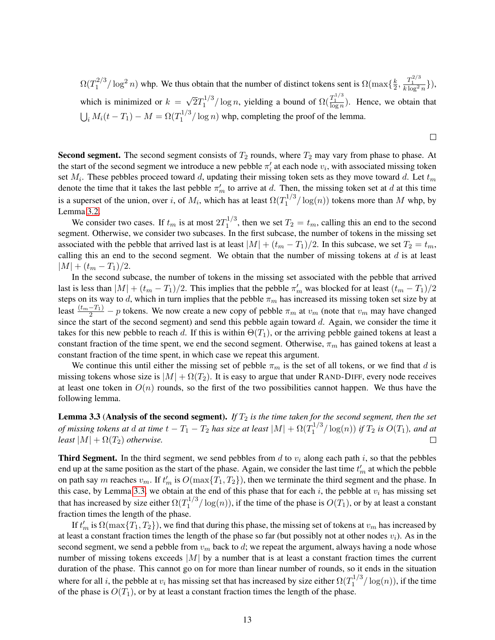$\Omega(T_1^{2/3}$  $\frac{1}{2}$ <sup>2/3</sup>/log<sup>2</sup> n) whp. We thus obtain that the number of distinct tokens sent is  $\Omega(\max\{\frac{k}{2})\}$  $\frac{k}{2}, \frac{T_1^{2/3}}{k\log^2 n}\},$ which is minimized or  $k =$ √  $\overline{2}T_1^{1/3}$  $\frac{\Gamma_1^{1/3}}{1}$  log n, yielding a bound of  $\Omega(\frac{T_1^{1/3}}{\log n})$ . Hence, we obtain that  $\bigcup_i M_i(t-T_1) - M = \Omega(T_1^{1/3})$  $\int_1^{1/3}$  (log n) whp, completing the proof of the lemma.

 $\Box$ 

**Second segment.** The second segment consists of  $T_2$  rounds, where  $T_2$  may vary from phase to phase. At the start of the second segment we introduce a new pebble  $\pi'_i$  at each node  $v_i$ , with associated missing token set  $M_i$ . These pebbles proceed toward d, updating their missing token sets as they move toward d. Let  $t_m$ denote the time that it takes the last pebble  $\pi'_m$  to arrive at d. Then, the missing token set at d at this time is a superset of the union, over i, of  $M_i$ , which has at least  $\Omega(T_1^{1/3})$  $\int_1^{1/3}$  log(n)) tokens more than M whp, by Lemma [3.2.](#page-10-1)

We consider two cases. If  $t_m$  is at most  $2T_1^{1/3}$  $1^{1/3}$ , then we set  $T_2 = t_m$ , calling this an end to the second segment. Otherwise, we consider two subcases. In the first subcase, the number of tokens in the missing set associated with the pebble that arrived last is at least  $|M| + (t_m - T_1)/2$ . In this subcase, we set  $T_2 = t_m$ , calling this an end to the second segment. We obtain that the number of missing tokens at  $d$  is at least  $|M| + (t_m - T_1)/2.$ 

In the second subcase, the number of tokens in the missing set associated with the pebble that arrived last is less than  $|M| + (t_m - T_1)/2$ . This implies that the pebble  $\pi'_m$  was blocked for at least  $(t_m - T_1)/2$ steps on its way to d, which in turn implies that the pebble  $\pi_m$  has increased its missing token set size by at least  $\frac{(t_m-T_1)}{2}$  – p tokens. We now create a new copy of pebble  $\pi_m$  at  $v_m$  (note that  $v_m$  may have changed since the start of the second segment) and send this pebble again toward d. Again, we consider the time it takes for this new pebble to reach d. If this is within  $\Theta(T_1)$ , or the arriving pebble gained tokens at least a constant fraction of the time spent, we end the second segment. Otherwise,  $\pi_m$  has gained tokens at least a constant fraction of the time spent, in which case we repeat this argument.

We continue this until either the missing set of pebble  $\pi_m$  is the set of all tokens, or we find that d is missing tokens whose size is  $|M| + \Omega(T_2)$ . It is easy to argue that under RAND-DIFF, every node receives at least one token in  $O(n)$  rounds, so the first of the two possibilities cannot happen. We thus have the following lemma.

<span id="page-12-0"></span>**Lemma 3.3 (Analysis of the second segment).** *If*  $T_2$  *is the time taken for the second segment, then the set*  $of$  missing tokens at  $d$  at time  $t-T_1-T_2$  has size at least  $|M|+\Omega(T_1^{1/3})$  $\int_1^{1/3}$   $\int$  log(n)) *if*  $T_2$  *is*  $O(T_1)$ *, and at least*  $|M| + \Omega(T_2)$  *otherwise.*  $\Box$ 

**Third Segment.** In the third segment, we send pebbles from d to  $v_i$  along each path i, so that the pebbles end up at the same position as the start of the phase. Again, we consider the last time  $t'_m$  at which the pebble on path say m reaches  $v_m$ . If  $t'_m$  is  $O(\max\{T_1, T_2\})$ , then we terminate the third segment and the phase. In this case, by Lemma [3.3,](#page-12-0) we obtain at the end of this phase that for each i, the pebble at  $v_i$  has missing set that has increased by size either  $\Omega(T_1^{1/3})$  $1^{1/3}$  log(n)), if the time of the phase is  $O(T_1)$ , or by at least a constant fraction times the length of the phase.

<span id="page-12-1"></span>If  $t'_m$  is  $\Omega(\max\{T_1, T_2\})$ , we find that during this phase, the missing set of tokens at  $v_m$  has increased by at least a constant fraction times the length of the phase so far (but possibly not at other nodes  $v_i$ ). As in the second segment, we send a pebble from  $v_m$  back to d; we repeat the argument, always having a node whose number of missing tokens exceeds  $|M|$  by a number that is at least a constant fraction times the current duration of the phase. This cannot go on for more than linear number of rounds, so it ends in the situation where for all i, the pebble at  $v_i$  has missing set that has increased by size either  $\Omega(T_1^{1/3})$  $\frac{1}{1}$ <sup>1/3</sup>/ $\log(n)$ , if the time of the phase is  $O(T_1)$ , or by at least a constant fraction times the length of the phase.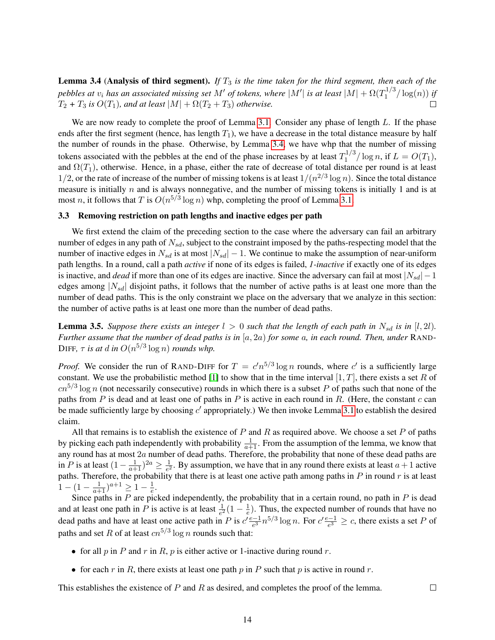Lemma 3.4 (Analysis of third segment). *If* T<sup>3</sup> *is the time taken for the third segment, then each of the* pebbles at  $v_i$  has an associated missing set  $M'$  of tokens, where  $|M'|$  is at least  $|M|+\Omega(T_1^{1/3})$  $j_1^{(1/3)}$   $\log(n)$  *if*  $T_2 + T_3$  *is*  $O(T_1)$ *, and at least*  $|M| + \Omega(T_2 + T_3)$  *otherwise.* П

We are now ready to complete the proof of Lemma [3.1.](#page-9-2) Consider any phase of length  $L$ . If the phase ends after the first segment (hence, has length  $T_1$ ), we have a decrease in the total distance measure by half the number of rounds in the phase. Otherwise, by Lemma [3.4,](#page-12-1) we have whp that the number of missing tokens associated with the pebbles at the end of the phase increases by at least  $T_1^{1/3}$  $1^{1/3} / \log n$ , if  $L = O(T_1)$ , and  $\Omega(T_1)$ , otherwise. Hence, in a phase, either the rate of decrease of total distance per round is at least 1/2, or the rate of increase of the number of missing tokens is at least  $1/(n^{2/3} \log n)$ . Since the total distance measure is initially  $n$  and is always nonnegative, and the number of missing tokens is initially 1 and is at most *n*, it follows that T is  $O(n^{5/3} \log n)$  whp, completing the proof of Lemma [3.1.](#page-9-2)

## <span id="page-13-0"></span>3.3 Removing restriction on path lengths and inactive edges per path

We first extend the claim of the preceding section to the case where the adversary can fail an arbitrary number of edges in any path of  $N_{sd}$ , subject to the constraint imposed by the paths-respecting model that the number of inactive edges in  $N_{sd}$  is at most  $|N_{sd}| - 1$ . We continue to make the assumption of near-uniform path lengths. In a round, call a path *active* if none of its edges is failed, *1-inactive* if exactly one of its edges is inactive, and *dead* if more than one of its edges are inactive. Since the adversary can fail at most  $|N_{sd}| - 1$ edges among  $|N_{sd}|$  disjoint paths, it follows that the number of active paths is at least one more than the number of dead paths. This is the only constraint we place on the adversary that we analyze in this section: the number of active paths is at least one more than the number of dead paths.

<span id="page-13-1"></span>**Lemma 3.5.** *Suppose there exists an integer*  $l > 0$  *such that the length of each path in*  $N_{sd}$  *is in* [l, 2l]*. Further assume that the number of dead paths is in* [a, 2a) *for some* a*, in each round. Then, under* RAND-DIFF,  $\tau$  *is at d in*  $O(n^{5/3} \log n)$  *rounds whp.* 

*Proof.* We consider the run of RAND-DIFF for  $T = c'n^{5/3} \log n$  rounds, where c' is a sufficiently large constant. We use the probabilistic method [\[1\]](#page-20-13) to show that in the time interval  $[1, T]$ , there exists a set R of  $cn^{5/3}\log n$  (not necessarily consecutive) rounds in which there is a subset P of paths such that none of the paths from  $P$  is dead and at least one of paths in  $P$  is active in each round in  $R$ . (Here, the constant  $c$  can be made sufficiently large by choosing  $c'$  appropriately.) We then invoke Lemma [3.1](#page-9-2) to establish the desired claim.

All that remains is to establish the existence of  $P$  and  $R$  as required above. We choose a set  $P$  of paths by picking each path independently with probability  $\frac{1}{a+1}$ . From the assumption of the lemma, we know that any round has at most  $2a$  number of dead paths. Therefore, the probability that none of these dead paths are in P is at least  $(1 - \frac{1}{a+1})^{2a} \ge \frac{1}{e^2}$  $\frac{1}{e^2}$ . By assumption, we have that in any round there exists at least  $a+1$  active paths. Therefore, the probability that there is at least one active path among paths in  $P$  in round  $r$  is at least  $1 - (1 - \frac{1}{a+1})^{a+1} \geq 1 - \frac{1}{e}$  $\frac{1}{e}$ .

Since paths in  $P$  are picked independently, the probability that in a certain round, no path in  $P$  is dead and at least one path in P is active is at least  $\frac{1}{e^2}(1 - \frac{1}{e})$  $\frac{1}{e}$ ). Thus, the expected number of rounds that have no dead paths and have at least one active path in P is  $c' \frac{e-1}{e^3}$  $\frac{e^{(-1)}}{e^3} n^{5/3} \log n$ . For  $c' \frac{e-1}{e^3}$  $\frac{e^{z}-1}{e^3} \geq c$ , there exists a set P of paths and set R of at least  $cn^{5/3}\log n$  rounds such that:

- for all p in P and r in R, p is either active or 1-inactive during round r.
- for each r in R, there exists at least one path p in P such that p is active in round r.

This establishes the existence of  $P$  and  $R$  as desired, and completes the proof of the lemma.

 $\Box$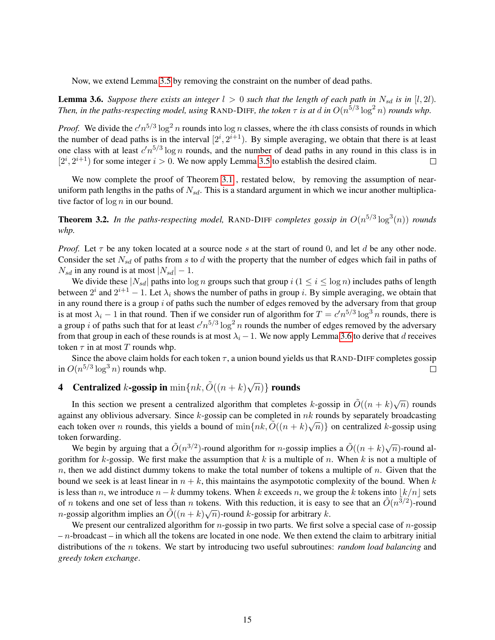Now, we extend Lemma [3.5](#page-13-1) by removing the constraint on the number of dead paths.

<span id="page-14-1"></span>**Lemma 3.6.** *Suppose there exists an integer*  $l > 0$  *such that the length of each path in*  $N_{sd}$  *is in* [ $l$ , 2 $l$ ). *Then, in the paths-respecting model, using* RAND-DIFF, the token  $\tau$  is at d in  $O(n^{5/3} \log^2 n)$  *rounds whp.* 

*Proof.* We divide the  $c'n^{5/3} \log^2 n$  rounds into  $\log n$  classes, where the *i*th class consists of rounds in which the number of dead paths is in the interval  $[2^i, 2^{i+1})$ . By simple averaging, we obtain that there is at least one class with at least  $c'n^{5/3}\log n$  rounds, and the number of dead paths in any round in this class is in  $[2^i, 2^{i+1})$  for some integer  $i > 0$ . We now apply Lemma [3.5](#page-13-1) to establish the desired claim.  $\Box$ 

We now complete the proof of Theorem [3.1](#page-9-0), restated below, by removing the assumption of nearuniform path lengths in the paths of  $N_{sd}$ . This is a standard argument in which we incur another multiplicative factor of  $\log n$  in our bound.

**Theorem 3.2.** In the paths-respecting model, RAND-DIFF completes gossip in  $O(n^{5/3} \log^3(n))$  rounds *whp.*

*Proof.* Let  $\tau$  be any token located at a source node s at the start of round 0, and let d be any other node. Consider the set  $N_{sd}$  of paths from s to d with the property that the number of edges which fail in paths of  $N_{sd}$  in any round is at most  $|N_{sd}| - 1$ .

We divide these  $|N_{sd}|$  paths into  $\log n$  groups such that group  $i$  ( $1 \le i \le \log n$ ) includes paths of length between  $2^i$  and  $2^{i+1} - 1$ . Let  $\lambda_i$  shows the number of paths in group i. By simple averaging, we obtain that in any round there is a group  $i$  of paths such the number of edges removed by the adversary from that group is at most  $\lambda_i - 1$  in that round. Then if we consider run of algorithm for  $T = c'n^{5/3} \log^3 n$  rounds, there is a group *i* of paths such that for at least  $c'n^{5/3} \log^2 n$  rounds the number of edges removed by the adversary from that group in each of these rounds is at most  $\lambda_i - 1$ . We now apply Lemma [3.6](#page-14-1) to derive that d receives token  $\tau$  in at most  $T$  rounds whp.

Since the above claim holds for each token  $\tau$ , a union bound yields us that RAND-DIFF completes gossip in  $O(n^{5/3} \log^3 n)$  rounds whp.  $\Box$ 

#### <span id="page-14-0"></span>**4** Centralized *k*-gossip in  $\min\{nk, \tilde{O}((n+k)\sqrt{1+\epsilon}\})$  $\overline{n})\}$  rounds

In this section we present a centralized algorithm that completes k-gossip in  $\tilde{O}((n+k)\sqrt{n})$  rounds against any oblivious adversary. Since  $k$ -gossip can be completed in  $nk$  rounds by separately broadcasting against any obtivious adversary. Since  $\kappa$ -gossip can be completed in *n* $\kappa$  founds by separately broadcasting each token over *n* rounds, this yields a bound of  $\min\{nk, \tilde{O}((n + k)\sqrt{n})\}$  on centralized *k*-gossip usin token forwarding.

We begin by arguing that a  $\tilde{O}(n^{3/2})$ -round algorithm for *n*-gossip implies a  $\tilde{O}((n+k)\sqrt{n})$ -round algorithm for k-gossip. We first make the assumption that k is a multiple of n. When k is not a multiple of  $n$ , then we add distinct dummy tokens to make the total number of tokens a multiple of  $n$ . Given that the bound we seek is at least linear in  $n + k$ , this maintains the asympototic complexity of the bound. When k is less than n, we introduce  $n-k$  dummy tokens. When k exceeds n, we group the k tokens into  $|k/n|$  sets of *n* tokens and one set of less than *n* tokens. With this reduction, it is easy to see that an  $\tilde{O}(n^{3/2})$ -round *n*-gossip algorithm implies an  $\tilde{O}((n+k)\sqrt{n})$ -round *k*-gossip for arbitrary *k*.

We present our centralized algorithm for *n*-gossip in two parts. We first solve a special case of *n*-gossip  $- n$ -broadcast – in which all the tokens are located in one node. We then extend the claim to arbitrary initial distributions of the n tokens. We start by introducing two useful subroutines: *random load balancing* and *greedy token exchange*.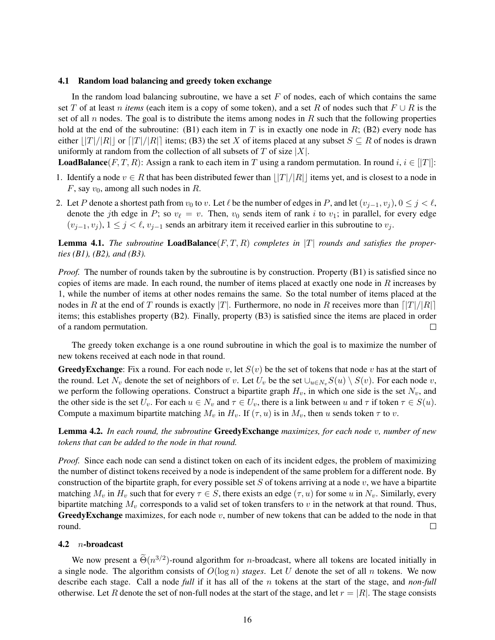#### 4.1 Random load balancing and greedy token exchange

In the random load balancing subroutine, we have a set  $F$  of nodes, each of which contains the same set T of at least n *items* (each item is a copy of some token), and a set R of nodes such that  $F \cup R$  is the set of all n nodes. The goal is to distribute the items among nodes in R such that the following properties hold at the end of the subroutine: (B1) each item in T is in exactly one node in R; (B2) every node has either  $||T||/||R||$  or  $||T|/||R||$  items; (B3) the set X of items placed at any subset  $S \subseteq R$  of nodes is drawn uniformly at random from the collection of all subsets of  $T$  of size  $|X|$ .

**LoadBalance**(F, T, R): Assign a rank to each item in T using a random permutation. In round  $i, i \in [T]$ :

- 1. Identify a node  $v \in R$  that has been distributed fewer than  $||T|/|R||$  items yet, and is closest to a node in  $F$ , say  $v_0$ , among all such nodes in  $R$ .
- 2. Let P denote a shortest path from  $v_0$  to v. Let  $\ell$  be the number of edges in P, and let  $(v_{j-1}, v_j), 0 \le j < \ell$ , denote the jth edge in P; so  $v_\ell = v$ . Then,  $v_0$  sends item of rank i to  $v_1$ ; in parallel, for every edge  $(v_{j-1}, v_j)$ ,  $1 \leq j < \ell$ ,  $v_{j-1}$  sends an arbitrary item it received earlier in this subroutine to  $v_j$ .

<span id="page-15-0"></span>**Lemma 4.1.** The subroutine **LoadBalance** $(F, T, R)$  completes in  $|T|$  rounds and satisfies the proper*ties (B1), (B2), and (B3).*

*Proof.* The number of rounds taken by the subroutine is by construction. Property (B1) is satisfied since no copies of items are made. In each round, the number of items placed at exactly one node in  $R$  increases by 1, while the number of items at other nodes remains the same. So the total number of items placed at the nodes in R at the end of T rounds is exactly |T|. Furthermore, no node in R receives more than  $\frac{|\mathcal{T}|}{|\mathcal{R}|}$ items; this establishes property (B2). Finally, property (B3) is satisfied since the items are placed in order of a random permutation.  $\Box$ 

The greedy token exchange is a one round subroutine in which the goal is to maximize the number of new tokens received at each node in that round.

**GreedyExchange:** Fix a round. For each node v, let  $S(v)$  be the set of tokens that node v has at the start of the round. Let  $N_v$  denote the set of neighbors of v. Let  $U_v$  be the set  $\cup_{u \in N_v} S(u) \setminus S(v)$ . For each node v, we perform the following operations. Construct a bipartite graph  $H_v$ , in which one side is the set  $N_v$ , and the other side is the set  $U_v$ . For each  $u \in N_v$  and  $\tau \in U_v$ , there is a link between u and  $\tau$  if token  $\tau \in S(u)$ . Compute a maximum bipartite matching  $M_v$  in  $H_v$ . If  $(\tau, u)$  is in  $M_v$ , then u sends token  $\tau$  to v.

<span id="page-15-1"></span>Lemma 4.2. *In each round, the subroutine* GreedyExchange *maximizes, for each node* v*, number of new tokens that can be added to the node in that round.*

*Proof.* Since each node can send a distinct token on each of its incident edges, the problem of maximizing the number of distinct tokens received by a node is independent of the same problem for a different node. By construction of the bipartite graph, for every possible set S of tokens arriving at a node  $v$ , we have a bipartite matching  $M_v$  in  $H_v$  such that for every  $\tau \in S$ , there exists an edge  $(\tau, u)$  for some u in  $N_v$ . Similarly, every bipartite matching  $M_v$  corresponds to a valid set of token transfers to v in the network at that round. Thus, **GreedyExchange** maximizes, for each node  $v$ , number of new tokens that can be added to the node in that round.  $\Box$ 

#### 4.2  $n$ -broadcast

We now present a  $\tilde{\Theta}(n^{3/2})$ -round algorithm for *n*-broadcast, where all tokens are located initially in a single node. The algorithm consists of  $O(\log n)$  *stages*. Let U denote the set of all n tokens. We now describe each stage. Call a node *full* if it has all of the n tokens at the start of the stage, and *non-full* otherwise. Let R denote the set of non-full nodes at the start of the stage, and let  $r = |R|$ . The stage consists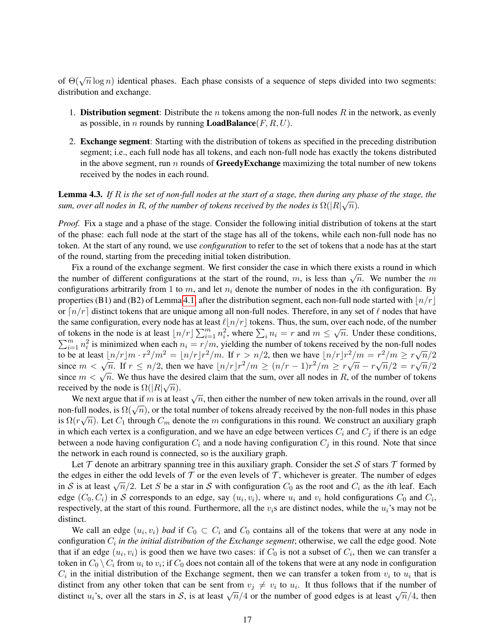of  $\Theta(\sqrt{n}\log n)$  identical phases. Each phase consists of a sequence of steps divided into two segments: distribution and exchange.

- 1. **Distribution segment**: Distribute the *n* tokens among the non-full nodes R in the network, as evenly as possible, in *n* rounds by running **LoadBalance** $(F, R, U)$ .
- 2. Exchange segment: Starting with the distribution of tokens as specified in the preceding distribution segment; i.e., each full node has all tokens, and each non-full node has exactly the tokens distributed in the above segment, run  $n$  rounds of **GreedyExchange** maximizing the total number of new tokens received by the nodes in each round.

<span id="page-16-0"></span>**Lemma 4.3.** If  $R$  is the set of non-full nodes at the start of a stage, then during any phase of the stage, the  $s$ um, over all nodes in  $R$ , of the number of tokens received by the nodes is  $\Omega(|R|\sqrt{n}).$ 

*Proof.* Fix a stage and a phase of the stage. Consider the following initial distribution of tokens at the start of the phase: each full node at the start of the stage has all of the tokens, while each non-full node has no token. At the start of any round, we use *configuration* to refer to the set of tokens that a node has at the start of the round, starting from the preceding initial token distribution.

Fix a round of the exchange segment. We first consider the case in which there exists a round in which The number of different configurations at the start of the round, m, is less than  $\sqrt{n}$ . We number the m<br>the number of different configurations at the start of the round, m, is less than  $\sqrt{n}$ . We number the m configurations arbitrarily from 1 to m, and let  $n_i$  denote the number of nodes in the *i*th configuration. By properties (B1) and (B2) of Lemma [4.1,](#page-15-0) after the distribution segment, each non-full node started with  $\frac{ln}{r}$ or  $\lceil n/r \rceil$  distinct tokens that are unique among all non-full nodes. Therefore, in any set of  $\ell$  nodes that have the same configuration, every node has at least  $\ell |n/r|$  tokens. Thus, the sum, over each node, of the number of tokens in the node is at least  $\lfloor n/r \rfloor \sum_{i=1}^{m} n_i^2$ , where  $\sum_i n_i = r$  and  $m \le \sqrt{r}$  $\sum_{i=1}^{m} n_i^2$  is minimized when each  $n_i = r/m$ , yielding the number of tokens received by the non-full nodes  $\overline{n}$ . Under these conditions, to be at least  $\lfloor n/r \rfloor m \cdot r^2/m^2 = \lfloor n/r \rfloor r^2/m$ . If  $r > n/2$ , then we have  $\lfloor n/r \rfloor r^2/m = r^2/m \ge r\sqrt{n}/2$ since  $m < \sqrt{n}$ . If  $r \le n/2$ , then we have  $\lfloor n/r \rfloor r^2/m \ge (n/r - 1)r^2/m \ge r\sqrt{n} - r\sqrt{n}/2 = r\sqrt{n}/2$ since  $m < \sqrt{n}$ . We thus have the desired claim that the sum, over all nodes in R, of the number of tokens received by the node is  $\Omega(|R|\sqrt{n})$ .

We next argue that if m is at least  $\sqrt{n}$ , then either the number of new token arrivals in the round, over all we next argue that if m is at least  $\sqrt{n}$ , then either the number of new token arrivals in the round, over an<br>non-full nodes, is  $\Omega(\sqrt{n})$ , or the total number of tokens already received by the non-full nodes in this phas is  $\Omega(r\sqrt{n})$ . Let  $C_1$  through  $C_m$  denote the m configurations in this round. We construct an auxiliary graph in which each vertex is a configuration, and we have an edge between vertices  $C_i$  and  $C_j$  if there is an edge between a node having configuration  $C_i$  and a node having configuration  $C_j$  in this round. Note that since the network in each round is connected, so is the auxiliary graph.

Let  $\tau$  denote an arbitrary spanning tree in this auxiliary graph. Consider the set S of stars  $\tau$  formed by the edges in either the odd levels of  $\mathcal T$  or the even levels of  $\mathcal T$ , whichever is greater. The number of edges in S is at least  $\sqrt{n}/2$ . Let S be a star in S with configuration  $C_0$  as the root and  $C_i$  as the *i*th leaf. Each edge  $(C_0, C_i)$  in S corresponds to an edge, say  $(u_i, v_i)$ , where  $u_i$  and  $v_i$  hold configurations  $C_0$  and  $C_i$ , respectively, at the start of this round. Furthermore, all the  $v_i$ s are distinct nodes, while the  $u_i$ 's may not be distinct.

We call an edge  $(u_i, v_i)$  *bad* if  $C_0 \subset C_i$  and  $C_0$  contains all of the tokens that were at any node in configuration  $C_i$  in the initial distribution of the Exchange segment; otherwise, we call the edge good. Note that if an edge  $(u_i, v_i)$  is good then we have two cases: if  $C_0$  is not a subset of  $C_i$ , then we can transfer a token in  $C_0 \setminus C_i$  from  $u_i$  to  $v_i$ ; if  $C_0$  does not contain all of the tokens that were at any node in configuration  $C_i$  in the initial distribution of the Exchange segment, then we can transfer a token from  $v_i$  to  $u_i$  that is distinct from any other token that can be sent from  $v_j \neq v_i$  to  $u_i$ . It thus follows that if the number of distinct from any other token that can be sent from  $v_j \neq v_i$  to  $u_i$ . It thus follows that if the number of good edges is at least  $\sqrt{n}/4$ , then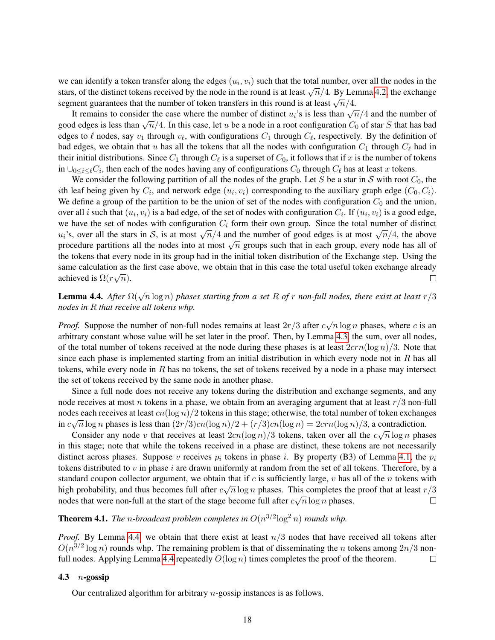we can identify a token transfer along the edges  $(u_i, v_i)$  such that the total number, over all the nodes in the stars, of the distinct tokens received by the node in the round is at least  $\sqrt{n}/4$ . By Lemma [4.2,](#page-15-1) the exchange stars, or the distinct tokens received by the hode in the round is at least  $\sqrt{n}/4$ . By Eq. segment guarantees that the number of token transfers in this round is at least  $\sqrt{n}/4$ .

It remains to consider the case where the number of distinct  $u_i$ 's is less than  $\sqrt{n}/4$  and the number of It remains to consider the case where the number of distinct  $u_i$ 's is less than  $\sqrt{n}/4$  and the number of It remains to consider the case where the humber of distinct  $u_i$  is it is not  $\sqrt{n/4}$  and the humber of good edges is less than  $\sqrt{n}/4$ . In this case, let u be a node in a root configuration  $C_0$  of star S that has bad edges to  $\ell$  nodes, say  $v_1$  through  $v_\ell$ , with configurations  $C_1$  through  $C_\ell$ , respectively. By the definition of bad edges, we obtain that u has all the tokens that all the nodes with configuration  $C_1$  through  $C_\ell$  had in their initial distributions. Since  $C_1$  through  $C_\ell$  is a superset of  $C_0$ , it follows that if  $x$  is the number of tokens in  $\bigcup_{0 \le i \le \ell} C_i$ , then each of the nodes having any of configurations  $C_0$  through  $C_\ell$  has at least x tokens.

We consider the following partition of all the nodes of the graph. Let S be a star in S with root  $C_0$ , the *i*th leaf being given by  $C_i$ , and network edge  $(u_i, v_i)$  corresponding to the auxiliary graph edge  $(C_0, C_i)$ . We define a group of the partition to be the union of set of the nodes with configuration  $C_0$  and the union, over all i such that  $(u_i, v_i)$  is a bad edge, of the set of nodes with configuration  $C_i$ . If  $(u_i, v_i)$  is a good edge, we have the set of nodes with configuration  $C_i$  form their own group. Since the total number of distinct we have the set of hodes whil comiguration  $C_i$  form then own group. Since the total humber of usually  $u_i$ 's, over all the stars in S, is at most  $\sqrt{n}/4$  and the number of good edges is at most  $\sqrt{n}/4$ , the above  $u_i$  s, over an the stars in  $\sigma$ , is at most  $\sqrt{n/4}$  and the number of good edges is at most  $\sqrt{n/4}$ , the above procedure partitions all the nodes into at most  $\sqrt{n}$  groups such that in each group, every node has all the tokens that every node in its group had in the initial token distribution of the Exchange step. Using the same calculation as the first case above, we obtain that in this case the total useful token exchange already achieved is  $\Omega(r\sqrt{n})$ .  $\Box$ 

<span id="page-17-0"></span>Lemma 4.4. *After* Ω(<sup>√</sup> n log n) *phases starting from a set* R *of* r *non-full nodes, there exist at least* r/3 *nodes in* R *that receive all tokens whp.*

*Proof.* Suppose the number of non-full nodes remains at least  $2r/3$  after  $c\sqrt{n}\log n$  phases, where c is an arbitrary constant whose value will be set later in the proof. Then, by Lemma [4.3,](#page-16-0) the sum, over all nodes, of the total number of tokens received at the node during these phases is at least  $2crn(\log n)/3$ . Note that since each phase is implemented starting from an initial distribution in which every node not in  $R$  has all tokens, while every node in  $R$  has no tokens, the set of tokens received by a node in a phase may intersect the set of tokens received by the same node in another phase.

Since a full node does not receive any tokens during the distribution and exchange segments, and any node receives at most n tokens in a phase, we obtain from an averaging argument that at least  $r/3$  non-full nodes each receives at least  $cn(\log n)/2$  tokens in this stage; otherwise, the total number of token exchanges in  $c\sqrt{n}\log n$  phases is less than  $\left(\frac{2r}{3}\right)cn(\log n)/2 + \left(\frac{r}{3}\right)cn(\log n) = 2crn(\log n)/3$ , a contradiction.

Consider any node v that receives at least  $2cn(\log n)/3$  tokens, taken over all the  $c\sqrt{n}\log n$  phases in this stage; note that while the tokens received in a phase are distinct, these tokens are not necessarily distinct across phases. Suppose v receives  $p_i$  tokens in phase i. By property (B3) of Lemma [4.1,](#page-15-0) the  $p_i$ tokens distributed to  $v$  in phase  $i$  are drawn uniformly at random from the set of all tokens. Therefore, by a standard coupon collector argument, we obtain that if c is sufficiently large, v has all of the n tokens with high probability, and thus becomes full after  $c\sqrt{n}\log n$  phases. This completes the proof that at least  $r/3$  $\sqrt{n} \log n$  phases. nodes that were non-full at the start of the stage become full after  $c$  $\Box$ 

<span id="page-17-1"></span>**Theorem 4.1.** The *n*-broadcast problem completes in  $O(n^{3/2} \log^2 n)$  rounds whp.

*Proof.* By Lemma [4.4,](#page-17-0) we obtain that there exist at least  $n/3$  nodes that have received all tokens after  $O(n^{3/2} \log n)$  rounds whp. The remaining problem is that of disseminating the n tokens among  $2n/3$  non-full nodes. Applying Lemma [4.4](#page-17-0) repeatedly  $O(\log n)$  times completes the proof of the theorem.  $\Box$ 

## 4.3  $n$ -gossip

Our centralized algorithm for arbitrary n-gossip instances is as follows.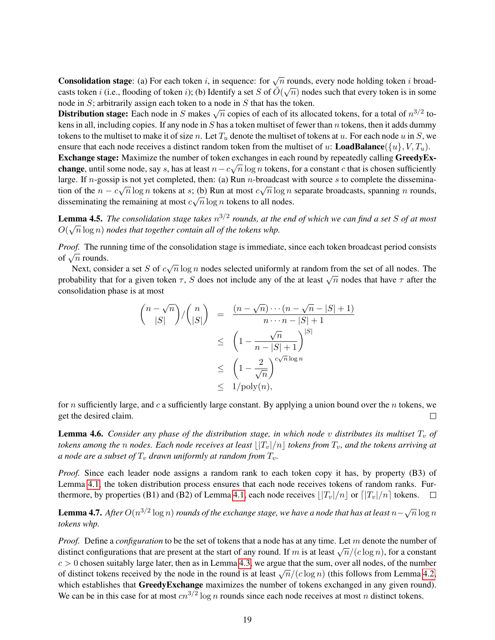**Consolidation stage:** (a) For each token i, in sequence: for  $\sqrt{n}$  rounds, every node holding token i broadcasts token i (i.e., flooding of token i); (b) Identify a set S of  $O(\sqrt{n})$  nodes such that every token is in some node in S; arbitrarily assign each token to a node in S that has the token.

Distribution stage: Each node in S makes  $\sqrt{n}$  copies of each of its allocated tokens, for a total of  $n^{3/2}$  tokens in all, including copies. If any node in S has a token multiset of fewer than n tokens, then it adds dummy tokens to the multiset to make it of size n. Let  $T_u$  denote the multiset of tokens at u. For each node u in S, we ensure that each node receives a distinct random token from the multiset of u: **LoadBalance**({u},  $V, T_u$ }.

**Exchange stage:** Maximize the number of token exchanges in each round by repeatedly calling GreedyEx**change**, until some node, say s, has at least  $n - c\sqrt{n}\log n$  tokens, for a constant c that is chosen sufficiently large. If *n*-gossip is not yet completed, then: (a) Run *n*-broadcast with source *s* to complete the dissemination of the  $n - c\sqrt{n}\log n$  tokens at s; (b) Run at most  $c\sqrt{n}\log n$  separate broadcasts, spanning n rounds, disseminating the remaining at most  $c\sqrt{n}\log n$  tokens to all nodes.

**Lemma 4.5.** *The consolidation stage takes*  $n^{3/2}$  *rounds, at the end of which we can find a set* S *of at most*  $O(\sqrt{n}\log n)$  nodes that together contain all of the tokens whp.

*Proof.* The running time of the consolidation stage is immediate, since each token broadcast period consists *n* root. The rule of  $\sqrt{n}$  rounds.

Next, consider a set  $S$  of  $c$  $\sqrt{n} \log n$  nodes selected uniformly at random from the set of all nodes. The probability that for a given token  $\tau$ , S does not include any of the at least  $\sqrt{n}$  nodes that have  $\tau$  after the probability that for a given token  $\tau$ , S does not include any of the at least  $\sqrt{n}$  nodes that have consolidation phase is at most

$$
\binom{n-\sqrt{n}}{|S|}/\binom{n}{|S|} = \frac{(n-\sqrt{n})\cdots(n-\sqrt{n}-|S|+1)}{n\cdots n-|S|+1}
$$
  

$$
\leq \left(1-\frac{\sqrt{n}}{n-|S|+1}\right)^{|S|}
$$
  

$$
\leq \left(1-\frac{2}{\sqrt{n}}\right)^{c\sqrt{n}\log n}
$$
  

$$
\leq 1/\text{poly}(n),
$$

for n sufficiently large, and c a sufficiently large constant. By applying a union bound over the n tokens, we get the desired claim.  $\Box$ 

<span id="page-18-0"></span>**Lemma 4.6.** *Consider any phase of the distribution stage, in which node v distributes its multiset*  $T_v$  *of tokens among the n nodes. Each node receives at least*  $\lfloor |T_v|/n \rfloor$  *tokens from*  $T_v$ *, and the tokens arriving at a node are a subset of*  $T_v$  *drawn uniformly at random from*  $T_v$ .

*Proof.* Since each leader node assigns a random rank to each token copy it has, by property (B3) of Lemma [4.1,](#page-15-0) the token distribution process ensures that each node receives tokens of random ranks. Fur-thermore, by properties (B1) and (B2) of Lemma [4.1,](#page-15-0) each node receives  $||T_v|/n$  or  $||T_v|/n$  tokens.  $\Box$ 

<span id="page-18-1"></span>**Lemma 4.7.** After  $O(n^{3/2}\log n)$  rounds of the exchange stage, we have a node that has at least  $n-\sqrt{n}\log n$ *tokens whp.*

*Proof.* Define a *configuration* to be the set of tokens that a node has at any time. Let m denote the number of *r toof*. Define a *configuration* to be the set of tokens that a houe has at any time. Eet *m* denote the humber of distinct configurations that are present at the start of any round. If m is at least  $\sqrt{n}/(c \log n)$ , for  $c > 0$  chosen suitably large later, then as in Lemma [4.3,](#page-16-0) we argue that the sum, over all nodes, of the number  $\epsilon > 0$  chosen sunably large face, then as in Echinia 4.5, we argue that the sum, over an hodes, or the number of distinct tokens received by the node in the round is at least  $\sqrt{n}/(c \log n)$  (this follows from Lemma [4.2,](#page-15-1) which establishes that GreedyExchange maximizes the number of tokens exchanged in any given round). We can be in this case for at most  $cn^{3/2} \log n$  rounds since each node receives at most n distinct tokens.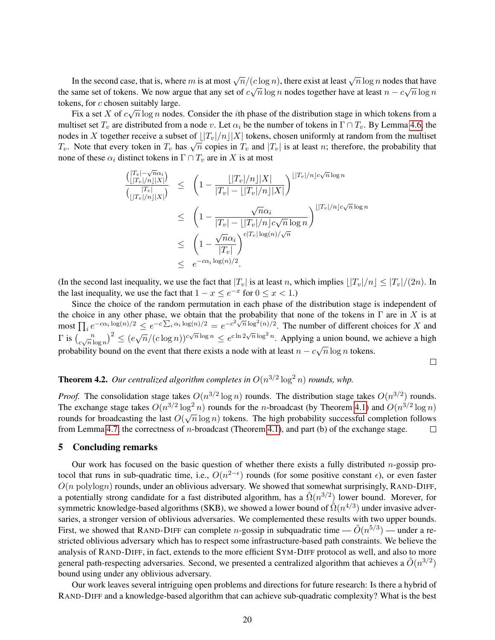In the second case, that is, where m is at most  $\sqrt{n}/(c \log n)$ , there exist at least  $\sqrt{n} \log n$  nodes that have the same set of tokens. We now argue that any set of  $c\sqrt{n}\log n$  nodes together have at least  $n - c\sqrt{n}\log n$ tokens, for c chosen suitably large.

Fix a set X of  $c\sqrt{n}\log n$  nodes. Consider the *i*th phase of the distribution stage in which tokens from a multiset set  $T_v$  are distributed from a node v. Let  $\alpha_i$  be the number of tokens in  $\Gamma \cap T_v$ . By Lemma [4.6,](#page-18-0) the nodes in X together receive a subset of  $||T_v|/n||X|$  tokens, chosen uniformly at random from the multiset T<sub>v</sub>. Note that every token in  $T_v$  has  $\sqrt{n}$  copies in  $T_v$  and  $|T_v|$  is at least *n*; therefore, the probability that none of these  $\alpha_i$  distinct tokens in  $\Gamma \cap T_v$  are in X is at most

$$
\frac{\binom{|T_v| - \sqrt{n}\alpha_i}{\lfloor |T_v|/n\rfloor |X|}}{\binom{|T_v|}{\lfloor |T_v|/n\rfloor |X|}} \leq \left(1 - \frac{\lfloor |T_v|/n\rfloor |X|}{|T_v| - \lfloor |T_v|/n\rfloor |X|}\right)^{\lfloor |T_v|/n\rfloor c\sqrt{n}\log n}
$$
\n
$$
\leq \left(1 - \frac{\sqrt{n}\alpha_i}{|T_v| - \lfloor |T_v|/n\rfloor c\sqrt{n}\log n}\right)^{\lfloor |T_v|/n\rfloor c\sqrt{n}\log n}
$$
\n
$$
\leq \left(1 - \frac{\sqrt{n}\alpha_i}{|T_v|}\right)^{c|T_v|\log(n)/\sqrt{n}}
$$
\n
$$
\leq e^{-c\alpha_i \log(n)/2}.
$$

(In the second last inequality, we use the fact that  $|T_v|$  is at least n, which implies  $|T_v|/n \leq |T_v|/(2n)$ . In the last inequality, we use the fact that  $1 - x \le e^{-x}$  for  $0 \le x < 1$ .)

Since the choice of the random permutation in each phase of the distribution stage is independent of the choice in any other phase, we obtain that the probability that none of the tokens in  $\Gamma$  are in X is at most  $\prod_i e^{-c\alpha_i \log(n)/2} \leq e^{-c\sum_i \alpha_i \log(n)/2} = e^{-c^2\sqrt{n} \log^2(n)/2}$ . The number of different choices for X and  $\Gamma$  is  $\binom{n}{c}$  $\left(\frac{n}{\sqrt{n}}\right)^2 \leq \left(\frac{e\sqrt{n}}{\left(\frac{c\log n}{\sqrt{n}}\right)^{c\sqrt{n}}\log n} \leq e^{c\ln 2\sqrt{n}\log^2 n}$ . Applying a union bound, we achieve a high probability bound on the event that there exists a node with at least  $n - c\sqrt{n}\log n$  tokens.

 $\Box$ 

## **Theorem 4.2.** Our centralized algorithm completes in  $O(n^{3/2} \log^2 n)$  rounds, whp.

*Proof.* The consolidation stage takes  $O(n^{3/2} \log n)$  rounds. The distribution stage takes  $O(n^{3/2})$  rounds. The exchange stage takes  $O(n^{3/2} \log^2 n)$  rounds for the *n*-broadcast (by Theorem [4.1\)](#page-17-1) and  $O(n^{3/2} \log n)$ rnc exenange stage takes  $O(n + \log n)$  tounds for the *n*-broadcast (by Theorem 4.1) and  $O(n + \log n)$ <br>rounds for broadcasting the last  $O(\sqrt{n} \log n)$  tokens. The high probability successful completion follows from Lemma [4.7,](#page-18-1) the correctness of n-broadcast (Theorem [4.1\)](#page-17-1), and part (b) of the exchange stage.  $\Box$ 

#### 5 Concluding remarks

Our work has focused on the basic question of whether there exists a fully distributed *n*-gossip protocol that runs in sub-quadratic time, i.e.,  $O(n^{2-\epsilon})$  rounds (for some positive constant  $\epsilon$ ), or even faster  $O(n \text{ polylog} n)$  rounds, under an oblivious adversary. We showed that somewhat surprisingly, RAND-DIFF, a potentially strong candidate for a fast distributed algorithm, has a  $\tilde{\Omega}(n^{3/2})$  lower bound. Morever, for symmetric knowledge-based algorithms (SKB), we showed a lower bound of  $\tilde{\Omega}(n^{4/3})$  under invasive adversaries, a stronger version of oblivious adversaries. We complemented these results with two upper bounds. First, we showed that RAND-DIFF can complete *n*-gossip in subquadratic time  $-\tilde{O}(n^{5/3})$  — under a restricted oblivious adversary which has to respect some infrastructure-based path constraints. We believe the analysis of RAND-DIFF, in fact, extends to the more efficient SYM-DIFF protocol as well, and also to more general path-respecting adversaries. Second, we presented a centralized algorithm that achieves a  $\tilde{O}(n^{3/2})$ bound using under any oblivious adversary.

Our work leaves several intriguing open problems and directions for future research: Is there a hybrid of RAND-DIFF and a knowledge-based algorithm that can achieve sub-quadratic complexity? What is the best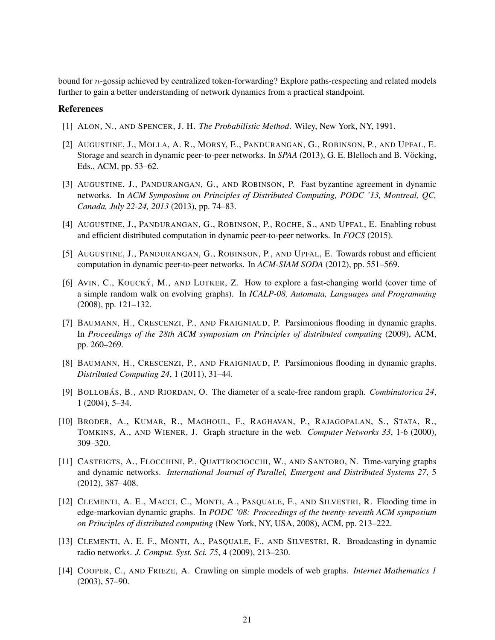bound for n-gossip achieved by centralized token-forwarding? Explore paths-respecting and related models further to gain a better understanding of network dynamics from a practical standpoint.

### **References**

- <span id="page-20-13"></span>[1] ALON, N., AND SPENCER, J. H. *The Probabilistic Method*. Wiley, New York, NY, 1991.
- <span id="page-20-10"></span>[2] AUGUSTINE, J., MOLLA, A. R., MORSY, E., PANDURANGAN, G., ROBINSON, P., AND UPFAL, E. Storage and search in dynamic peer-to-peer networks. In *SPAA* (2013), G. E. Blelloch and B. Vöcking, Eds., ACM, pp. 53–62.
- <span id="page-20-7"></span>[3] AUGUSTINE, J., PANDURANGAN, G., AND ROBINSON, P. Fast byzantine agreement in dynamic networks. In *ACM Symposium on Principles of Distributed Computing, PODC '13, Montreal, QC, Canada, July 22-24, 2013* (2013), pp. 74–83.
- <span id="page-20-8"></span>[4] AUGUSTINE, J., PANDURANGAN, G., ROBINSON, P., ROCHE, S., AND UPFAL, E. Enabling robust and efficient distributed computation in dynamic peer-to-peer networks. In *FOCS* (2015).
- <span id="page-20-0"></span>[5] AUGUSTINE, J., PANDURANGAN, G., ROBINSON, P., AND UPFAL, E. Towards robust and efficient computation in dynamic peer-to-peer networks. In *ACM-SIAM SODA* (2012), pp. 551–569.
- <span id="page-20-6"></span>[6] AVIN, C., KOUCKÝ, M., AND LOTKER, Z. How to explore a fast-changing world (cover time of a simple random walk on evolving graphs). In *ICALP-08, Automata, Languages and Programming* (2008), pp. 121–132.
- <span id="page-20-5"></span>[7] BAUMANN, H., CRESCENZI, P., AND FRAIGNIAUD, P. Parsimonious flooding in dynamic graphs. In *Proceedings of the 28th ACM symposium on Principles of distributed computing* (2009), ACM, pp. 260–269.
- <span id="page-20-12"></span>[8] BAUMANN, H., CRESCENZI, P., AND FRAIGNIAUD, P. Parsimonious flooding in dynamic graphs. *Distributed Computing 24*, 1 (2011), 31–44.
- <span id="page-20-2"></span>[9] BOLLOBAS´ , B., AND RIORDAN, O. The diameter of a scale-free random graph. *Combinatorica 24*, 1 (2004), 5–34.
- <span id="page-20-3"></span>[10] BRODER, A., KUMAR, R., MAGHOUL, F., RAGHAVAN, P., RAJAGOPALAN, S., STATA, R., TOMKINS, A., AND WIENER, J. Graph structure in the web. *Computer Networks 33*, 1-6 (2000), 309–320.
- <span id="page-20-11"></span>[11] CASTEIGTS, A., FLOCCHINI, P., QUATTROCIOCCHI, W., AND SANTORO, N. Time-varying graphs and dynamic networks. *International Journal of Parallel, Emergent and Distributed Systems 27*, 5 (2012), 387–408.
- <span id="page-20-9"></span>[12] CLEMENTI, A. E., MACCI, C., MONTI, A., PASQUALE, F., AND SILVESTRI, R. Flooding time in edge-markovian dynamic graphs. In *PODC '08: Proceedings of the twenty-seventh ACM symposium on Principles of distributed computing* (New York, NY, USA, 2008), ACM, pp. 213–222.
- <span id="page-20-4"></span>[13] CLEMENTI, A. E. F., MONTI, A., PASQUALE, F., AND SILVESTRI, R. Broadcasting in dynamic radio networks. *J. Comput. Syst. Sci. 75*, 4 (2009), 213–230.
- <span id="page-20-1"></span>[14] COOPER, C., AND FRIEZE, A. Crawling on simple models of web graphs. *Internet Mathematics 1* (2003), 57–90.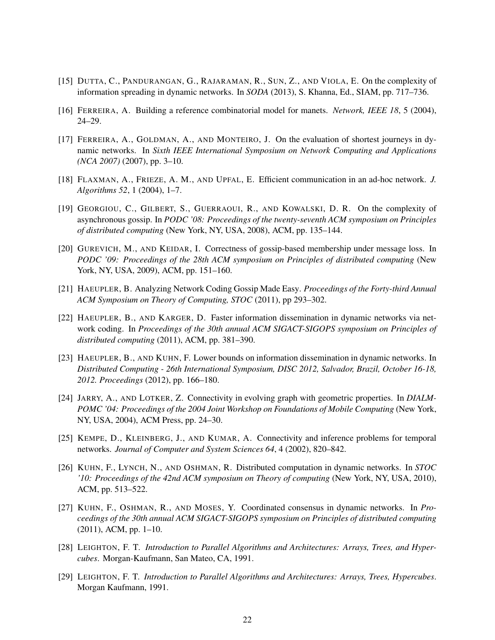- <span id="page-21-7"></span>[15] DUTTA, C., PANDURANGAN, G., RAJARAMAN, R., SUN, Z., AND VIOLA, E. On the complexity of information spreading in dynamic networks. In *SODA* (2013), S. Khanna, Ed., SIAM, pp. 717–736.
- <span id="page-21-2"></span>[16] FERREIRA, A. Building a reference combinatorial model for manets. *Network, IEEE 18*, 5 (2004), 24–29.
- <span id="page-21-12"></span>[17] FERREIRA, A., GOLDMAN, A., AND MONTEIRO, J. On the evaluation of shortest journeys in dynamic networks. In *Sixth IEEE International Symposium on Network Computing and Applications (NCA 2007)* (2007), pp. 3–10.
- <span id="page-21-1"></span>[18] FLAXMAN, A., FRIEZE, A. M., AND UPFAL, E. Efficient communication in an ad-hoc network. *J. Algorithms 52*, 1 (2004), 1–7.
- <span id="page-21-6"></span>[19] GEORGIOU, C., GILBERT, S., GUERRAOUI, R., AND KOWALSKI, D. R. On the complexity of asynchronous gossip. In *PODC '08: Proceedings of the twenty-seventh ACM symposium on Principles of distributed computing* (New York, NY, USA, 2008), ACM, pp. 135–144.
- <span id="page-21-5"></span>[20] GUREVICH, M., AND KEIDAR, I. Correctness of gossip-based membership under message loss. In *PODC '09: Proceedings of the 28th ACM symposium on Principles of distributed computing* (New York, NY, USA, 2009), ACM, pp. 151–160.
- <span id="page-21-4"></span>[21] HAEUPLER, B. Analyzing Network Coding Gossip Made Easy. *Proceedings of the Forty-third Annual ACM Symposium on Theory of Computing, STOC* (2011), pp 293–302.
- <span id="page-21-8"></span>[22] HAEUPLER, B., AND KARGER, D. Faster information dissemination in dynamic networks via network coding. In *Proceedings of the 30th annual ACM SIGACT-SIGOPS symposium on Principles of distributed computing* (2011), ACM, pp. 381–390.
- <span id="page-21-13"></span>[23] HAEUPLER, B., AND KUHN, F. Lower bounds on information dissemination in dynamic networks. In *Distributed Computing - 26th International Symposium, DISC 2012, Salvador, Brazil, October 16-18, 2012. Proceedings* (2012), pp. 166–180.
- <span id="page-21-11"></span>[24] JARRY, A., AND LOTKER, Z. Connectivity in evolving graph with geometric properties. In *DIALM-POMC '04: Proceedings of the 2004 Joint Workshop on Foundations of Mobile Computing* (New York, NY, USA, 2004), ACM Press, pp. 24–30.
- <span id="page-21-0"></span>[25] KEMPE, D., KLEINBERG, J., AND KUMAR, A. Connectivity and inference problems for temporal networks. *Journal of Computer and System Sciences 64*, 4 (2002), 820–842.
- <span id="page-21-3"></span>[26] KUHN, F., LYNCH, N., AND OSHMAN, R. Distributed computation in dynamic networks. In *STOC '10: Proceedings of the 42nd ACM symposium on Theory of computing* (New York, NY, USA, 2010), ACM, pp. 513–522.
- <span id="page-21-9"></span>[27] KUHN, F., OSHMAN, R., AND MOSES, Y. Coordinated consensus in dynamic networks. In *Proceedings of the 30th annual ACM SIGACT-SIGOPS symposium on Principles of distributed computing* (2011), ACM, pp. 1–10.
- <span id="page-21-14"></span>[28] LEIGHTON, F. T. *Introduction to Parallel Algorithms and Architectures: Arrays, Trees, and Hypercubes*. Morgan-Kaufmann, San Mateo, CA, 1991.
- <span id="page-21-10"></span>[29] LEIGHTON, F. T. *Introduction to Parallel Algorithms and Architectures: Arrays, Trees, Hypercubes*. Morgan Kaufmann, 1991.